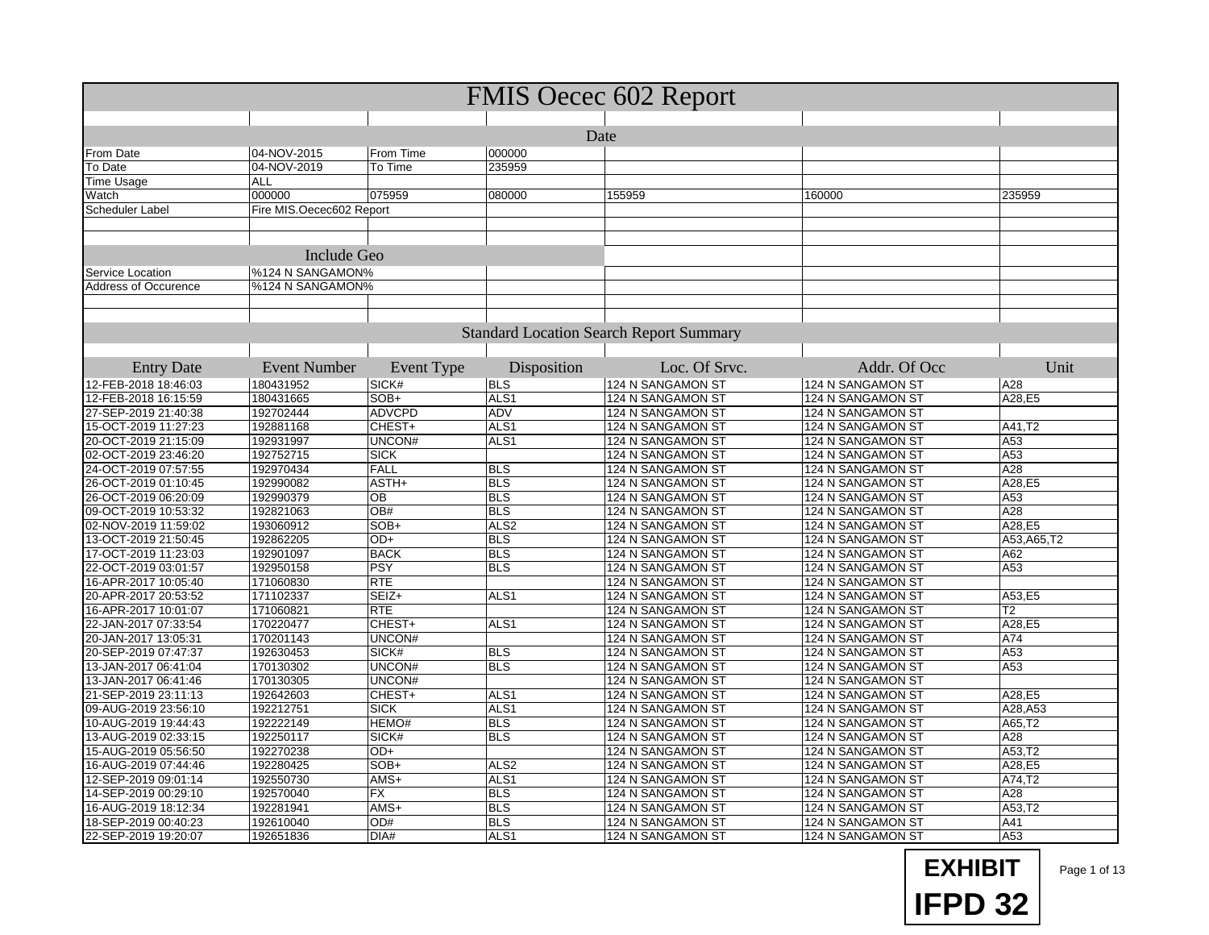| <b>FMIS Oecec 602 Report</b> |                          |                   |                          |                                                |                   |               |  |  |
|------------------------------|--------------------------|-------------------|--------------------------|------------------------------------------------|-------------------|---------------|--|--|
|                              |                          |                   |                          |                                                |                   |               |  |  |
| Date                         |                          |                   |                          |                                                |                   |               |  |  |
| From Date                    | 04-NOV-2015              | From Time         | 000000                   |                                                |                   |               |  |  |
| To Date                      | 04-NOV-2019              | To Time           | 235959                   |                                                |                   |               |  |  |
| Time Usage                   | <b>ALL</b>               |                   |                          |                                                |                   |               |  |  |
| Watch                        | 000000                   | 075959            | 080000                   | 155959                                         | 160000            | 235959        |  |  |
| Scheduler Label              | Fire MIS.Oecec602 Report |                   |                          |                                                |                   |               |  |  |
|                              |                          |                   |                          |                                                |                   |               |  |  |
|                              |                          |                   |                          |                                                |                   |               |  |  |
|                              | <b>Include Geo</b>       |                   |                          |                                                |                   |               |  |  |
| Service Location             | %124 N SANGAMON%         |                   |                          |                                                |                   |               |  |  |
| <b>Address of Occurence</b>  | %124 N SANGAMON%         |                   |                          |                                                |                   |               |  |  |
|                              |                          |                   |                          |                                                |                   |               |  |  |
|                              |                          |                   |                          |                                                |                   |               |  |  |
|                              |                          |                   |                          | <b>Standard Location Search Report Summary</b> |                   |               |  |  |
|                              |                          |                   |                          |                                                |                   |               |  |  |
| <b>Entry Date</b>            | <b>Event Number</b>      | <b>Event Type</b> | Disposition              | Loc. Of Srvc.                                  | Addr. Of Occ      | Unit          |  |  |
| 12-FEB-2018 18:46:03         | 180431952                | SICK#             | <b>BLS</b>               | 124 N SANGAMON ST                              | 124 N SANGAMON ST | A28           |  |  |
| 12-FEB-2018 16:15:59         | 180431665                | SOB+              | ALS <sub>1</sub>         | 124 N SANGAMON ST                              | 124 N SANGAMON ST | A28,E5        |  |  |
| 27-SEP-2019 21:40:38         | 192702444                | <b>ADVCPD</b>     | <b>ADV</b>               | 124 N SANGAMON ST                              | 124 N SANGAMON ST |               |  |  |
| 15-OCT-2019 11:27:23         | 192881168                | CHEST+            | ALS <sub>1</sub>         | 124 N SANGAMON ST                              | 124 N SANGAMON ST | A41,T2        |  |  |
| 20-OCT-2019 21:15:09         | 192931997                | UNCON#            | ALS <sub>1</sub>         | 124 N SANGAMON ST                              | 124 N SANGAMON ST | A53           |  |  |
| 02-OCT-2019 23:46:20         | 192752715                | <b>SICK</b>       |                          | 124 N SANGAMON ST                              | 124 N SANGAMON ST | A53           |  |  |
| 24-OCT-2019 07:57:55         | 192970434                | FALL              | <b>BLS</b>               | 124 N SANGAMON ST                              | 124 N SANGAMON ST | A28           |  |  |
| 26-OCT-2019 01:10:45         | 192990082                | ASTH+             | <b>BLS</b>               | 124 N SANGAMON ST                              | 124 N SANGAMON ST | A28,E5        |  |  |
| 26-OCT-2019 06:20:09         | 192990379                | $\overline{OB}$   | <b>BLS</b>               | 124 N SANGAMON ST                              | 124 N SANGAMON ST | A53           |  |  |
| 09-OCT-2019 10:53:32         | 192821063                | OB#               | <b>BLS</b>               | 124 N SANGAMON ST                              | 124 N SANGAMON ST | A28           |  |  |
| 02-NOV-2019 11:59:02         | 193060912                | SOB+              | ALS <sub>2</sub>         | 124 N SANGAMON ST                              | 124 N SANGAMON ST | A28,E5        |  |  |
| 13-OCT-2019 21:50:45         | 192862205                | OD+               | <b>BLS</b>               | 124 N SANGAMON ST                              | 124 N SANGAMON ST | A53, A65, T2  |  |  |
| 17-OCT-2019 11:23:03         | 192901097                | <b>BACK</b>       | <b>BLS</b>               | 124 N SANGAMON ST                              | 124 N SANGAMON ST | A62           |  |  |
| 22-OCT-2019 03:01:57         | 192950158                | PSY               | <b>BLS</b>               | 124 N SANGAMON ST                              | 124 N SANGAMON ST | A53           |  |  |
| 16-APR-2017 10:05:40         | 171060830                | <b>RTE</b>        |                          | 124 N SANGAMON ST                              | 124 N SANGAMON ST |               |  |  |
| 20-APR-2017 20:53:52         | 171102337                | SEIZ+             | ALS <sub>1</sub>         | 124 N SANGAMON ST                              | 124 N SANGAMON ST | A53,E5        |  |  |
| 16-APR-2017 10:01:07         | 171060821                | <b>RTE</b>        |                          | 124 N SANGAMON ST                              | 124 N SANGAMON ST | Т2            |  |  |
| 22-JAN-2017 07:33:54         | 170220477                | CHEST+            | ALS <sub>1</sub>         | 124 N SANGAMON ST                              | 124 N SANGAMON ST | A28,E5        |  |  |
| 20-JAN-2017 13:05:31         | 170201143                | UNCON#            |                          | 124 N SANGAMON ST                              | 124 N SANGAMON ST | A74           |  |  |
| 20-SEP-2019 07:47:37         | 192630453                | SICK#             | <b>BLS</b>               | 124 N SANGAMON ST                              | 124 N SANGAMON ST | A53           |  |  |
| 13-JAN-2017 06:41:04         | 170130302                | UNCON#            | <b>BLS</b>               | 124 N SANGAMON ST                              | 124 N SANGAMON ST | A53           |  |  |
| 13-JAN-2017 06:41:46         | 170130305                | UNCON#            |                          | 124 N SANGAMON ST                              | 124 N SANGAMON ST |               |  |  |
| 21-SEP-2019 23:11:13         | 192642603                | CHEST+            | ALS <sub>1</sub>         | 124 N SANGAMON ST                              | 124 N SANGAMON ST | A28,E5        |  |  |
| 09-AUG-2019 23:56:10         | 192212751                | <b>SICK</b>       | ALS <sub>1</sub>         | 124 N SANGAMON ST                              | 124 N SANGAMON ST | A28, A53      |  |  |
| 10-AUG-2019 19:44:43         | 192222149                | HEMO#             | <b>BLS</b>               | 124 N SANGAMON ST                              | 124 N SANGAMON ST | A65,T2        |  |  |
| 13-AUG-2019 02:33:15         | 192250117                | SICK#             | <b>BLS</b>               | 124 N SANGAMON ST                              | 124 N SANGAMON ST | A28           |  |  |
| 15-AUG-2019 05:56:50         | 192270238                | OD+               |                          | 124 N SANGAMON ST                              | 124 N SANGAMON ST | A53.T2        |  |  |
| 16-AUG-2019 07:44:46         | 192280425                | SOB+              | ALS <sub>2</sub>         | 124 N SANGAMON ST                              | 124 N SANGAMON ST | A28,E5        |  |  |
| 12-SEP-2019 09:01:14         | 192550730                | AMS+              | ALS1                     | 124 N SANGAMON ST                              | 124 N SANGAMON ST | A74,T2        |  |  |
| 14-SEP-2019 00:29:10         | 192570040                | FX                | <b>BLS</b><br><b>BLS</b> | 124 N SANGAMON ST                              | 124 N SANGAMON ST | A28           |  |  |
| 16-AUG-2019 18:12:34         | 192281941                | $AMS+$<br>OD#     | <b>BLS</b>               | 124 N SANGAMON ST                              | 124 N SANGAMON ST | A53,T2<br>A41 |  |  |
| 18-SEP-2019 00:40:23         | 192610040                |                   | ALS1                     | 124 N SANGAMON ST                              | 124 N SANGAMON ST | A53           |  |  |
| 22-SEP-2019 19:20:07         | 192651836                | DIA#              |                          | 124 N SANGAMON ST                              | 124 N SANGAMON ST |               |  |  |



Page 1 of 13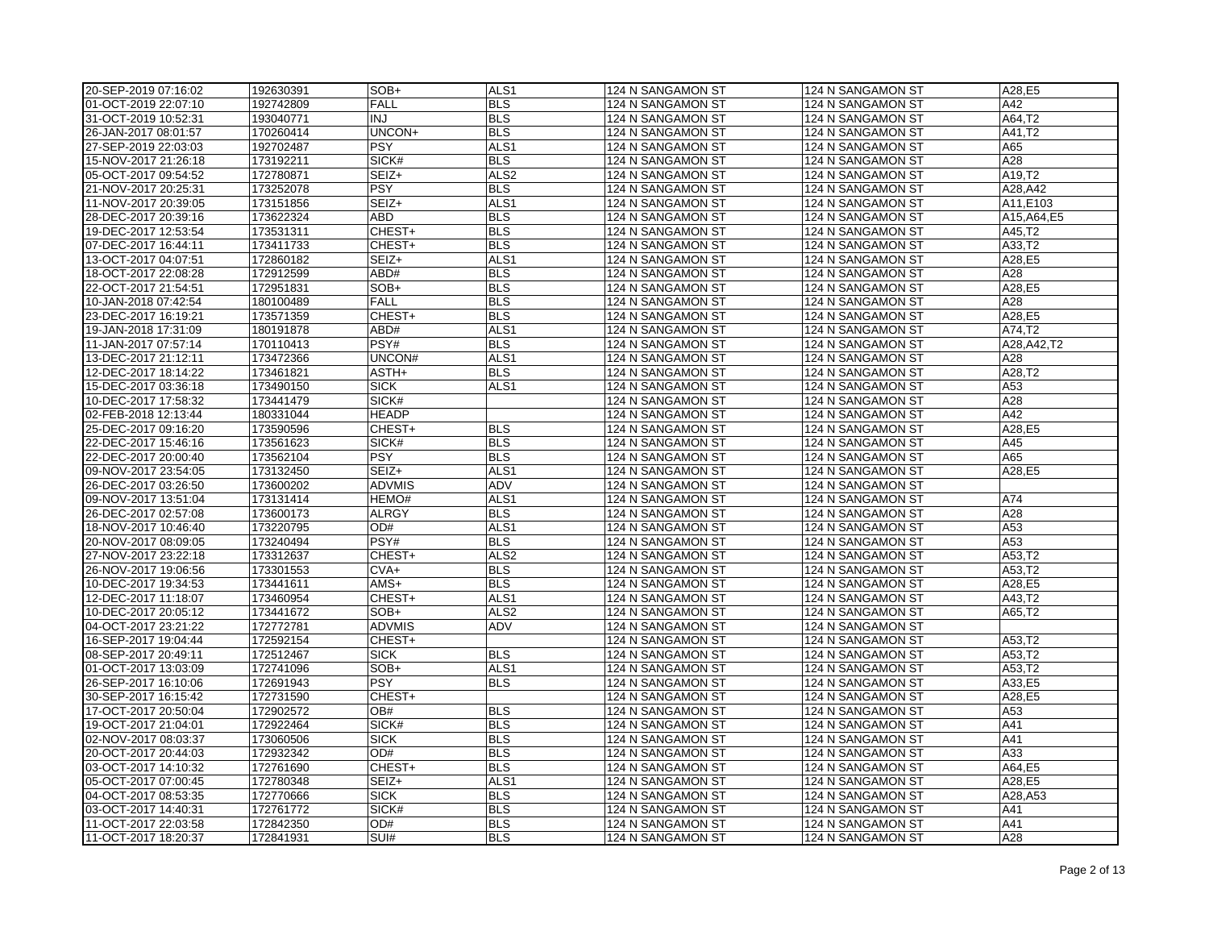| 20-SEP-2019 07:16:02 | 192630391 | SOB+          | ALS <sub>1</sub>        | 124 N SANGAMON ST | 124 N SANGAMON ST | A28,E5           |
|----------------------|-----------|---------------|-------------------------|-------------------|-------------------|------------------|
| 01-OCT-2019 22:07:10 | 192742809 | <b>FALL</b>   | <b>BLS</b>              | 124 N SANGAMON ST | 124 N SANGAMON ST | A42              |
| 31-OCT-2019 10:52:31 | 193040771 | <b>INJ</b>    | <b>BLS</b>              | 124 N SANGAMON ST | 124 N SANGAMON ST | A64,T2           |
| 26-JAN-2017 08:01:57 | 170260414 | UNCON+        | <b>BLS</b>              | 124 N SANGAMON ST | 124 N SANGAMON ST | A41,T2           |
| 27-SEP-2019 22:03:03 | 192702487 | <b>PSY</b>    | ALS <sub>1</sub>        | 124 N SANGAMON ST | 124 N SANGAMON ST | A65              |
| 15-NOV-2017 21:26:18 | 173192211 | SICK#         | <b>BLS</b>              | 124 N SANGAMON ST | 124 N SANGAMON ST | A28              |
| 05-OCT-2017 09:54:52 | 172780871 | SEIZ+         | ALS <sub>2</sub>        | 124 N SANGAMON ST | 124 N SANGAMON ST | A19,T2           |
| 21-NOV-2017 20:25:31 | 173252078 | <b>PSY</b>    | <b>BLS</b>              | 124 N SANGAMON ST | 124 N SANGAMON ST | A28,A42          |
| 11-NOV-2017 20:39:05 | 173151856 | SEIZ+         | ALS <sub>1</sub>        | 124 N SANGAMON ST | 124 N SANGAMON ST | A11,E103         |
| 28-DEC-2017 20:39:16 | 173622324 | <b>ABD</b>    | <b>BLS</b>              | 124 N SANGAMON ST | 124 N SANGAMON ST | A15, A64, E5     |
| 19-DEC-2017 12:53:54 | 173531311 | CHEST+        | <b>BLS</b>              | 124 N SANGAMON ST | 124 N SANGAMON ST | A45,T2           |
| 07-DEC-2017 16:44:11 | 173411733 | CHEST+        | <b>BLS</b>              | 124 N SANGAMON ST | 124 N SANGAMON ST | A33,T2           |
| 13-OCT-2017 04:07:51 | 172860182 | SEIZ+         | ALS <sub>1</sub>        | 124 N SANGAMON ST | 124 N SANGAMON ST | A28,E5           |
| 18-OCT-2017 22:08:28 | 172912599 | ABD#          | <b>BLS</b>              | 124 N SANGAMON ST | 124 N SANGAMON ST | A28              |
| 22-OCT-2017 21:54:51 | 172951831 | SOB+          | <b>BLS</b>              | 124 N SANGAMON ST | 124 N SANGAMON ST | A28,E5           |
| 10-JAN-2018 07:42:54 | 180100489 | <b>FALL</b>   | <b>BLS</b>              | 124 N SANGAMON ST | 124 N SANGAMON ST | A28              |
| 23-DEC-2017 16:19:21 | 173571359 | CHEST+        | <b>BLS</b>              | 124 N SANGAMON ST | 124 N SANGAMON ST | A28,E5           |
| 19-JAN-2018 17:31:09 | 180191878 | ABD#          | ALS <sub>1</sub>        | 124 N SANGAMON ST | 124 N SANGAMON ST | A74,T2           |
| 11-JAN-2017 07:57:14 | 170110413 | PSY#          | <b>BLS</b>              | 124 N SANGAMON ST | 124 N SANGAMON ST | A28, A42, T2     |
| 13-DEC-2017 21:12:11 | 173472366 | UNCON#        | ALS <sub>1</sub>        | 124 N SANGAMON ST | 124 N SANGAMON ST | A28              |
| 12-DEC-2017 18:14:22 | 173461821 | ASTH+         | <b>BLS</b>              | 124 N SANGAMON ST | 124 N SANGAMON ST | A28,T2           |
| 15-DEC-2017 03:36:18 | 173490150 | <b>SICK</b>   | ALS <sub>1</sub>        | 124 N SANGAMON ST | 124 N SANGAMON ST | A53              |
| 10-DEC-2017 17:58:32 | 173441479 | SICK#         |                         | 124 N SANGAMON ST | 124 N SANGAMON ST | A28              |
| 02-FEB-2018 12:13:44 | 180331044 | <b>HEADP</b>  |                         | 124 N SANGAMON ST | 124 N SANGAMON ST | A42              |
| 25-DEC-2017 09:16:20 | 173590596 | CHEST+        | <b>BLS</b>              | 124 N SANGAMON ST | 124 N SANGAMON ST | A28,E5           |
| 22-DEC-2017 15:46:16 | 173561623 | SICK#         | <b>BLS</b>              | 124 N SANGAMON ST | 124 N SANGAMON ST | A45              |
| 22-DEC-2017 20:00:40 | 173562104 | <b>PSY</b>    | <b>BLS</b>              | 124 N SANGAMON ST | 124 N SANGAMON ST | A65              |
| 09-NOV-2017 23:54:05 | 173132450 | SEIZ+         | ALS <sub>1</sub>        | 124 N SANGAMON ST | 124 N SANGAMON ST | A28,E5           |
| 26-DEC-2017 03:26:50 | 173600202 | <b>ADVMIS</b> | ADV                     | 124 N SANGAMON ST | 124 N SANGAMON ST |                  |
| 09-NOV-2017 13:51:04 | 173131414 | HEMO#         | ALS <sub>1</sub>        | 124 N SANGAMON ST | 124 N SANGAMON ST | A74              |
| 26-DEC-2017 02:57:08 | 173600173 | <b>ALRGY</b>  | <b>BLS</b>              | 124 N SANGAMON ST | 124 N SANGAMON ST | A28              |
| 18-NOV-2017 10:46:40 | 173220795 | OD#           | ALS <sub>1</sub>        | 124 N SANGAMON ST | 124 N SANGAMON ST | A53              |
| 20-NOV-2017 08:09:05 | 173240494 | PSY#          | <b>BLS</b>              | 124 N SANGAMON ST | 124 N SANGAMON ST | A53              |
| 27-NOV-2017 23:22:18 | 173312637 | CHEST+        | ALS <sub>2</sub>        | 124 N SANGAMON ST | 124 N SANGAMON ST | A53,T2           |
|                      |           | $CVA+$        | <b>BLS</b>              |                   |                   |                  |
| 26-NOV-2017 19:06:56 | 173301553 | AMS+          | <b>BLS</b>              | 124 N SANGAMON ST | 124 N SANGAMON ST | A53,T2<br>A28,E5 |
| 10-DEC-2017 19:34:53 | 173441611 |               |                         | 124 N SANGAMON ST | 124 N SANGAMON ST |                  |
| 12-DEC-2017 11:18:07 | 173460954 | CHEST+        | ALS <sub>1</sub>        | 124 N SANGAMON ST | 124 N SANGAMON ST | A43,T2           |
| 10-DEC-2017 20:05:12 | 173441672 | SOB+          | ALS <sub>2</sub><br>ADV | 124 N SANGAMON ST | 124 N SANGAMON ST | A65,T2           |
| 04-OCT-2017 23:21:22 | 172772781 | <b>ADVMIS</b> |                         | 124 N SANGAMON ST | 124 N SANGAMON ST |                  |
| 16-SEP-2017 19:04:44 | 172592154 | CHEST+        |                         | 124 N SANGAMON ST | 124 N SANGAMON ST | A53,T2           |
| 08-SEP-2017 20:49:11 | 172512467 | <b>SICK</b>   | <b>BLS</b>              | 124 N SANGAMON ST | 124 N SANGAMON ST | A53,T2           |
| 01-OCT-2017 13:03:09 | 172741096 | SOB+          | ALS <sub>1</sub>        | 124 N SANGAMON ST | 124 N SANGAMON ST | A53,T2           |
| 26-SEP-2017 16:10:06 | 172691943 | <b>PSY</b>    | <b>BLS</b>              | 124 N SANGAMON ST | 124 N SANGAMON ST | A33,E5           |
| 30-SEP-2017 16:15:42 | 172731590 | CHEST+        |                         | 124 N SANGAMON ST | 124 N SANGAMON ST | A28,E5           |
| 17-OCT-2017 20:50:04 | 172902572 | OB#           | <b>BLS</b>              | 124 N SANGAMON ST | 124 N SANGAMON ST | A53              |
| 19-OCT-2017 21:04:01 | 172922464 | SICK#         | <b>BLS</b>              | 124 N SANGAMON ST | 124 N SANGAMON ST | A41              |
| 02-NOV-2017 08:03:37 | 173060506 | <b>SICK</b>   | <b>BLS</b>              | 124 N SANGAMON ST | 124 N SANGAMON ST | A41              |
| 20-OCT-2017 20:44:03 | 172932342 | OD#           | <b>BLS</b>              | 124 N SANGAMON ST | 124 N SANGAMON ST | A33              |
| 03-OCT-2017 14:10:32 | 172761690 | CHEST+        | <b>BLS</b>              | 124 N SANGAMON ST | 124 N SANGAMON ST | A64,E5           |
| 05-OCT-2017 07:00:45 | 172780348 | SEIZ+         | ALS <sub>1</sub>        | 124 N SANGAMON ST | 124 N SANGAMON ST | A28,E5           |
| 04-OCT-2017 08:53:35 | 172770666 | <b>SICK</b>   | <b>BLS</b>              | 124 N SANGAMON ST | 124 N SANGAMON ST | A28, A53         |
| 03-OCT-2017 14:40:31 | 172761772 | SICK#         | <b>BLS</b>              | 124 N SANGAMON ST | 124 N SANGAMON ST | A41              |
| 11-OCT-2017 22:03:58 | 172842350 | OD#           | <b>BLS</b>              | 124 N SANGAMON ST | 124 N SANGAMON ST | A41              |
| 11-OCT-2017 18:20:37 | 172841931 | SUI#          | <b>BLS</b>              | 124 N SANGAMON ST | 124 N SANGAMON ST | A28              |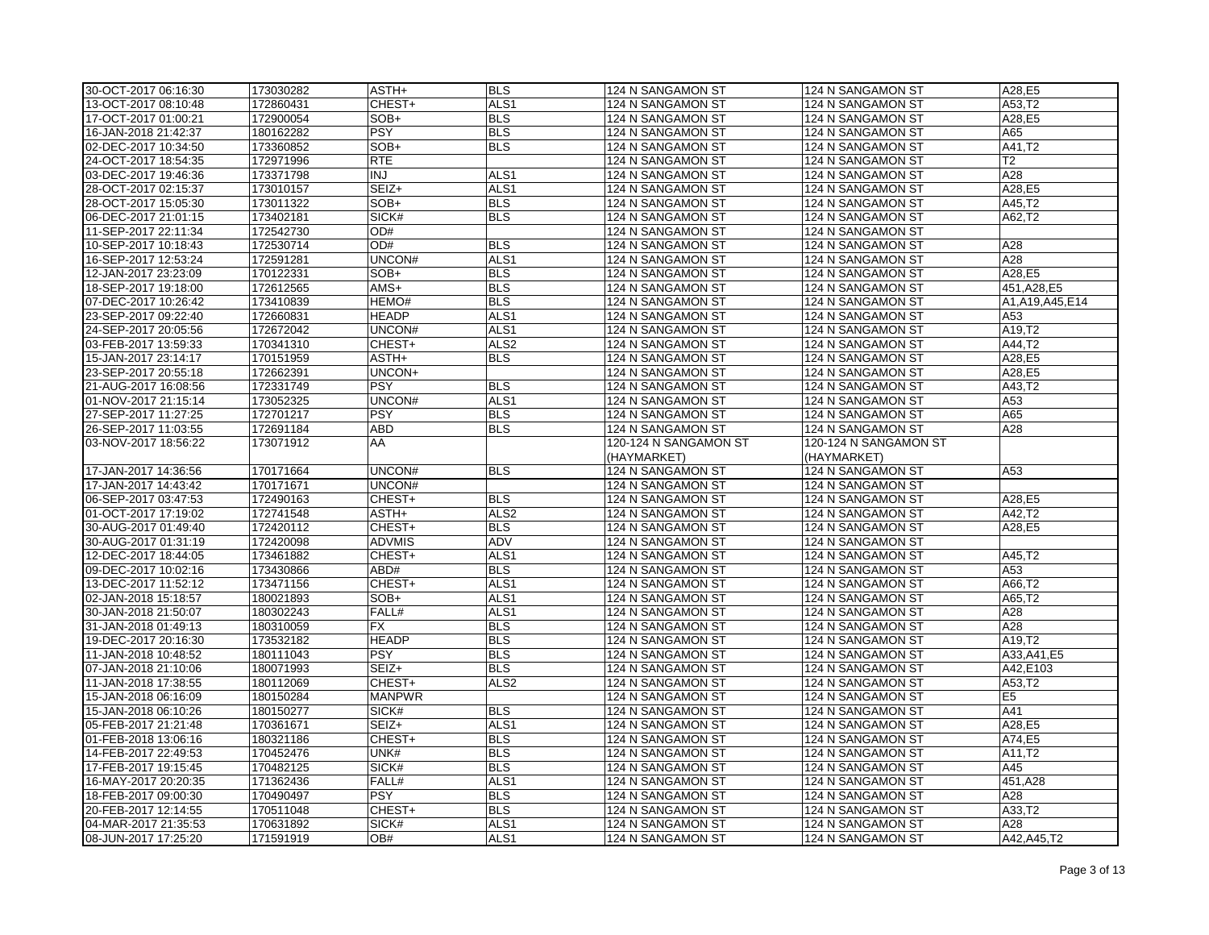| 30-OCT-2017 06:16:30 | 173030282 | ASTH+         | <b>BLS</b>       | 124 N SANGAMON ST                      | 124 N SANGAMON ST     | A28.E5            |
|----------------------|-----------|---------------|------------------|----------------------------------------|-----------------------|-------------------|
| 13-OCT-2017 08:10:48 | 172860431 | CHEST+        | ALS <sub>1</sub> | 124 N SANGAMON ST                      | 124 N SANGAMON ST     | A53,T2            |
| 17-OCT-2017 01:00:21 | 172900054 | SOB+          | <b>BLS</b>       | 124 N SANGAMON ST                      | 124 N SANGAMON ST     | A28,E5            |
| 16-JAN-2018 21:42:37 | 180162282 | <b>PSY</b>    | <b>BLS</b>       | 124 N SANGAMON ST                      | 124 N SANGAMON ST     | A65               |
| 02-DEC-2017 10:34:50 | 173360852 | $SOB+$        | <b>BLS</b>       | 124 N SANGAMON ST                      | 124 N SANGAMON ST     | A41.T2            |
| 24-OCT-2017 18:54:35 | 172971996 | <b>RTE</b>    |                  | 124 N SANGAMON ST                      | 124 N SANGAMON ST     | T <sub>2</sub>    |
| 03-DEC-2017 19:46:36 | 173371798 | <b>INJ</b>    | ALS <sub>1</sub> | 124 N SANGAMON ST                      | 124 N SANGAMON ST     | A28               |
| 28-OCT-2017 02:15:37 | 173010157 | SEIZ+         | ALS <sub>1</sub> | 124 N SANGAMON ST                      | 124 N SANGAMON ST     | A28,E5            |
| 28-OCT-2017 15:05:30 | 173011322 | SOB+          | <b>BLS</b>       | 124 N SANGAMON ST                      | 124 N SANGAMON ST     | A45,T2            |
| 06-DEC-2017 21:01:15 | 173402181 | SICK#         | <b>BLS</b>       | 124 N SANGAMON ST                      | 124 N SANGAMON ST     | A62,T2            |
| 11-SEP-2017 22:11:34 | 172542730 | OD#           |                  | 124 N SANGAMON ST                      | 124 N SANGAMON ST     |                   |
| 10-SEP-2017 10:18:43 | 172530714 | OD#           | <b>BLS</b>       | 124 N SANGAMON ST                      | 124 N SANGAMON ST     | A28               |
| 16-SEP-2017 12:53:24 | 172591281 | UNCON#        | ALS <sub>1</sub> | 124 N SANGAMON ST                      | 124 N SANGAMON ST     | A28               |
|                      |           | SOB+          | <b>BLS</b>       |                                        |                       | A28,E5            |
| 12-JAN-2017 23:23:09 | 170122331 | AMS+          | <b>BLS</b>       | 124 N SANGAMON ST<br>124 N SANGAMON ST | 124 N SANGAMON ST     |                   |
| 18-SEP-2017 19:18:00 | 172612565 |               | <b>BLS</b>       |                                        | 124 N SANGAMON ST     | 451, A28, E5      |
| 07-DEC-2017 10:26:42 | 173410839 | HEMO#         |                  | 124 N SANGAMON ST                      | 124 N SANGAMON ST     | A1, A19, A45, E14 |
| 23-SEP-2017 09:22:40 | 172660831 | <b>HEADP</b>  | ALS <sub>1</sub> | 124 N SANGAMON ST                      | 124 N SANGAMON ST     | A53               |
| 24-SEP-2017 20:05:56 | 172672042 | UNCON#        | ALS1             | 124 N SANGAMON ST                      | 124 N SANGAMON ST     | A19,T2            |
| 03-FEB-2017 13:59:33 | 170341310 | CHEST+        | ALS <sub>2</sub> | 124 N SANGAMON ST                      | 124 N SANGAMON ST     | A44,T2            |
| 15-JAN-2017 23:14:17 | 170151959 | ASTH+         | <b>BLS</b>       | 124 N SANGAMON ST                      | 124 N SANGAMON ST     | A28,E5            |
| 23-SEP-2017 20:55:18 | 172662391 | UNCON+        |                  | 124 N SANGAMON ST                      | 124 N SANGAMON ST     | A28,E5            |
| 21-AUG-2017 16:08:56 | 172331749 | <b>PSY</b>    | <b>BLS</b>       | 124 N SANGAMON ST                      | 124 N SANGAMON ST     | A43,T2            |
| 01-NOV-2017 21:15:14 | 173052325 | UNCON#        | ALS <sub>1</sub> | 124 N SANGAMON ST                      | 124 N SANGAMON ST     | A53               |
| 27-SEP-2017 11:27:25 | 172701217 | <b>PSY</b>    | <b>BLS</b>       | 124 N SANGAMON ST                      | 124 N SANGAMON ST     | A65               |
| 26-SEP-2017 11:03:55 | 172691184 | <b>ABD</b>    | <b>BLS</b>       | 124 N SANGAMON ST                      | 124 N SANGAMON ST     | A28               |
| 03-NOV-2017 18:56:22 | 173071912 | AA            |                  | 120-124 N SANGAMON ST                  | 120-124 N SANGAMON ST |                   |
|                      |           |               |                  | (HAYMARKET)                            | (HAYMARKET)           |                   |
| 17-JAN-2017 14:36:56 | 170171664 | UNCON#        | <b>BLS</b>       | 124 N SANGAMON ST                      | 124 N SANGAMON ST     | A53               |
| 17-JAN-2017 14:43:42 | 170171671 | UNCON#        |                  | 124 N SANGAMON ST                      | 124 N SANGAMON ST     |                   |
| 06-SEP-2017 03:47:53 | 172490163 | CHEST+        | <b>BLS</b>       | 124 N SANGAMON ST                      | 124 N SANGAMON ST     | A28,E5            |
| 01-OCT-2017 17:19:02 | 172741548 | ASTH+         | ALS <sub>2</sub> | 124 N SANGAMON ST                      | 124 N SANGAMON ST     | A42,T2            |
| 30-AUG-2017 01:49:40 | 172420112 | CHEST+        | <b>BLS</b>       | 124 N SANGAMON ST                      | 124 N SANGAMON ST     | A28,E5            |
| 30-AUG-2017 01:31:19 | 172420098 | <b>ADVMIS</b> | ADV              | 124 N SANGAMON ST                      | 124 N SANGAMON ST     |                   |
| 12-DEC-2017 18:44:05 | 173461882 | CHEST+        | ALS <sub>1</sub> | 124 N SANGAMON ST                      | 124 N SANGAMON ST     | A45,T2            |
| 09-DEC-2017 10:02:16 | 173430866 | ABD#          | <b>BLS</b>       | 124 N SANGAMON ST                      | 124 N SANGAMON ST     | A53               |
| 13-DEC-2017 11:52:12 | 173471156 | CHEST+        | ALS <sub>1</sub> | 124 N SANGAMON ST                      | 124 N SANGAMON ST     | A66,T2            |
| 02-JAN-2018 15:18:57 | 180021893 | SOB+          | ALS <sub>1</sub> | 124 N SANGAMON ST                      | 124 N SANGAMON ST     | A65,T2            |
| 30-JAN-2018 21:50:07 | 180302243 | FALL#         | ALS <sub>1</sub> | 124 N SANGAMON ST                      | 124 N SANGAMON ST     | A28               |
| 31-JAN-2018 01:49:13 | 180310059 | <b>FX</b>     | <b>BLS</b>       | 124 N SANGAMON ST                      | 124 N SANGAMON ST     | A28               |
| 19-DEC-2017 20:16:30 | 173532182 | <b>HEADP</b>  | <b>BLS</b>       | 124 N SANGAMON ST                      | 124 N SANGAMON ST     | A19,T2            |
| 11-JAN-2018 10:48:52 | 180111043 | <b>PSY</b>    | <b>BLS</b>       | 124 N SANGAMON ST                      | 124 N SANGAMON ST     | A33, A41, E5      |
| 07-JAN-2018 21:10:06 | 180071993 | SEIZ+         | <b>BLS</b>       | 124 N SANGAMON ST                      | 124 N SANGAMON ST     | A42,E103          |
| 11-JAN-2018 17:38:55 | 180112069 | CHEST+        | ALS <sub>2</sub> | 124 N SANGAMON ST                      | 124 N SANGAMON ST     | A53,T2            |
| 15-JAN-2018 06:16:09 | 180150284 | <b>MANPWR</b> |                  | 124 N SANGAMON ST                      | 124 N SANGAMON ST     | E <sub>5</sub>    |
| 15-JAN-2018 06:10:26 | 180150277 | SICK#         | <b>BLS</b>       | 124 N SANGAMON ST                      | 124 N SANGAMON ST     | A41               |
| 05-FEB-2017 21:21:48 | 170361671 | SEIZ+         | ALS <sub>1</sub> | 124 N SANGAMON ST                      | 124 N SANGAMON ST     | A28,E5            |
| 01-FEB-2018 13:06:16 | 180321186 | CHEST+        | <b>BLS</b>       | 124 N SANGAMON ST                      | 124 N SANGAMON ST     | A74,E5            |
| 14-FEB-2017 22:49:53 | 170452476 | UNK#          | <b>BLS</b>       | 124 N SANGAMON ST                      | 124 N SANGAMON ST     | A11,T2            |
| 17-FEB-2017 19:15:45 | 170482125 | SICK#         | <b>BLS</b>       | 124 N SANGAMON ST                      | 124 N SANGAMON ST     | A45               |
| 16-MAY-2017 20:20:35 | 171362436 | FALL#         | ALS <sub>1</sub> | 124 N SANGAMON ST                      | 124 N SANGAMON ST     | 451, A28          |
| 18-FEB-2017 09:00:30 | 170490497 | <b>PSY</b>    | <b>BLS</b>       | 124 N SANGAMON ST                      | 124 N SANGAMON ST     | A28               |
| 20-FEB-2017 12:14:55 | 170511048 | CHEST+        | <b>BLS</b>       | 124 N SANGAMON ST                      | 124 N SANGAMON ST     | A33,T2            |
| 04-MAR-2017 21:35:53 | 170631892 | SICK#         | ALS <sub>1</sub> | 124 N SANGAMON ST                      | 124 N SANGAMON ST     | A28               |
| 08-JUN-2017 17:25:20 | 171591919 | OB#           | ALS <sub>1</sub> | 124 N SANGAMON ST                      | 124 N SANGAMON ST     | A42, A45, T2      |
|                      |           |               |                  |                                        |                       |                   |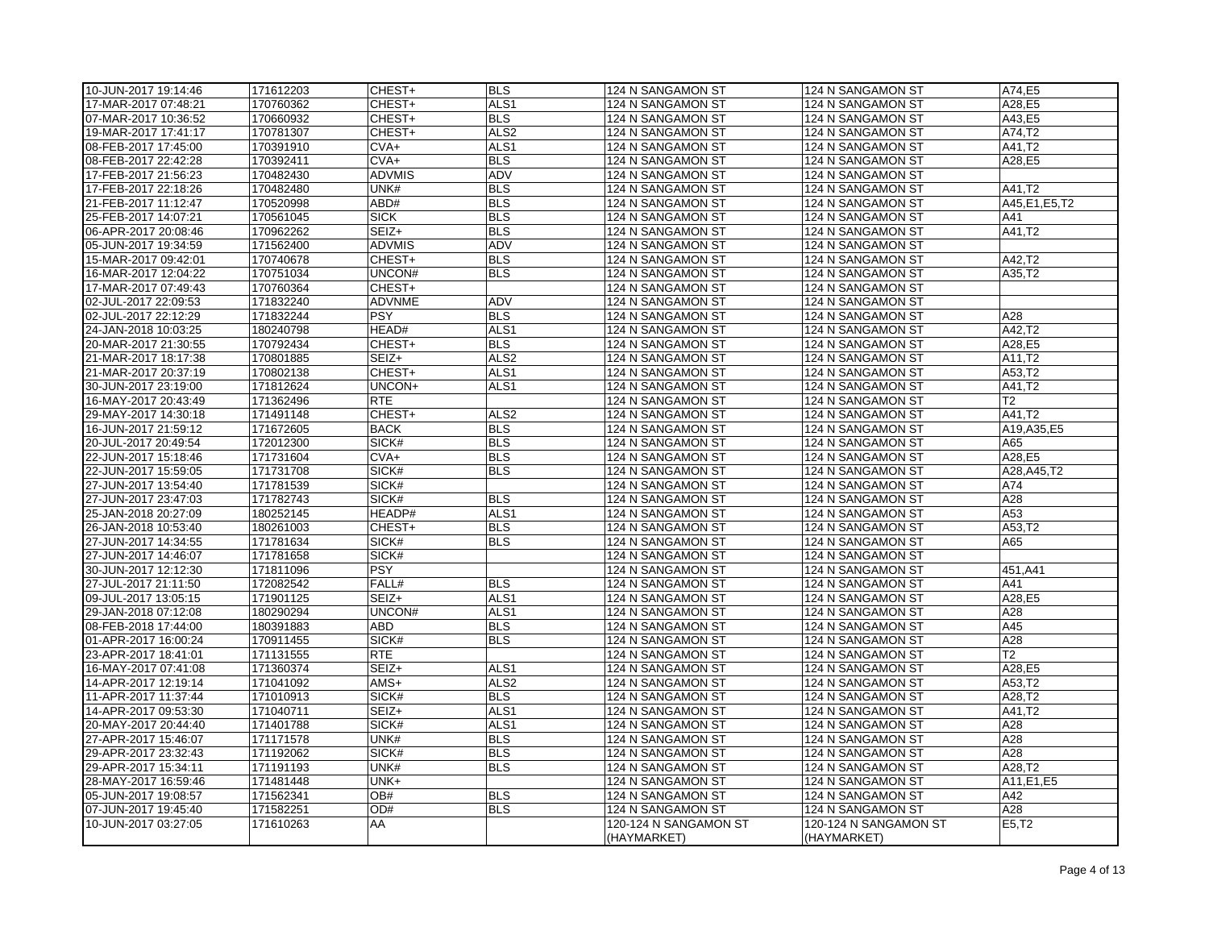| 10-JUN-2017 19:14:46 | 171612203              | CHEST+        | <b>BLS</b>       | 124 N SANGAMON ST     | 124 N SANGAMON ST     | A74.E5          |
|----------------------|------------------------|---------------|------------------|-----------------------|-----------------------|-----------------|
| 17-MAR-2017 07:48:21 | 170760362              | CHEST+        | ALS <sub>1</sub> | 124 N SANGAMON ST     | 124 N SANGAMON ST     | A28,E5          |
| 07-MAR-2017 10:36:52 | 170660932              | CHEST+        | <b>BLS</b>       | 124 N SANGAMON ST     | 124 N SANGAMON ST     | A43,E5          |
| 19-MAR-2017 17:41:17 | 170781307              | CHEST+        | ALS <sub>2</sub> | 124 N SANGAMON ST     | 124 N SANGAMON ST     | A74,T2          |
| 08-FEB-2017 17:45:00 | 170391910              | $CVA+$        | ALS <sub>1</sub> | 124 N SANGAMON ST     | 124 N SANGAMON ST     | A41.T2          |
| 08-FEB-2017 22:42:28 | 170392411              | $CVA+$        | <b>BLS</b>       | 124 N SANGAMON ST     | 124 N SANGAMON ST     | A28,E5          |
| 17-FEB-2017 21:56:23 | 170482430              | <b>ADVMIS</b> | ADV              | 124 N SANGAMON ST     | 124 N SANGAMON ST     |                 |
| 17-FEB-2017 22:18:26 | 170482480              | UNK#          | <b>BLS</b>       | 124 N SANGAMON ST     | 124 N SANGAMON ST     | A41,T2          |
| 21-FEB-2017 11:12:47 | 170520998              | ABD#          | <b>BLS</b>       | 124 N SANGAMON ST     | 124 N SANGAMON ST     | A45, E1, E5, T2 |
| 25-FEB-2017 14:07:21 | 170561045              | <b>SICK</b>   | <b>BLS</b>       | 124 N SANGAMON ST     | 124 N SANGAMON ST     | A41             |
| 06-APR-2017 20:08:46 | 170962262              | SEIZ+         | <b>BLS</b>       | 124 N SANGAMON ST     | 124 N SANGAMON ST     | A41,T2          |
| 05-JUN-2017 19:34:59 | 171562400              | <b>ADVMIS</b> | ADV              | 124 N SANGAMON ST     | 124 N SANGAMON ST     |                 |
| 15-MAR-2017 09:42:01 | 170740678              | CHEST+        | <b>BLS</b>       | 124 N SANGAMON ST     | 124 N SANGAMON ST     | A42,T2          |
| 16-MAR-2017 12:04:22 | 170751034              | UNCON#        | <b>BLS</b>       | 124 N SANGAMON ST     | 124 N SANGAMON ST     | A35,T2          |
| 17-MAR-2017 07:49:43 | 170760364              | CHEST+        |                  | 124 N SANGAMON ST     | 124 N SANGAMON ST     |                 |
| 02-JUL-2017 22:09:53 | 171832240              | ADVNME        | <b>ADV</b>       | 124 N SANGAMON ST     | 124 N SANGAMON ST     |                 |
| 02-JUL-2017 22:12:29 | 171832244              | <b>PSY</b>    | <b>BLS</b>       | 124 N SANGAMON ST     | 124 N SANGAMON ST     | A28             |
| 24-JAN-2018 10:03:25 | 180240798              | HEAD#         | ALS <sub>1</sub> | 124 N SANGAMON ST     | 124 N SANGAMON ST     | A42,T2          |
| 20-MAR-2017 21:30:55 | 170792434              | CHEST+        | <b>BLS</b>       | 124 N SANGAMON ST     | 124 N SANGAMON ST     | A28,E5          |
| 21-MAR-2017 18:17:38 | 170801885              | SEIZ+         | ALS <sub>2</sub> | 124 N SANGAMON ST     | 124 N SANGAMON ST     | A11,T2          |
| 21-MAR-2017 20:37:19 | 170802138              | CHEST+        | ALS1             | 124 N SANGAMON ST     | 124 N SANGAMON ST     | A53,T2          |
| 30-JUN-2017 23:19:00 | 171812624              | UNCON+        | ALS <sub>1</sub> | 124 N SANGAMON ST     | 124 N SANGAMON ST     | A41,T2          |
| 16-MAY-2017 20:43:49 | 171362496              | <b>RTE</b>    |                  | 124 N SANGAMON ST     | 124 N SANGAMON ST     | T <sub>2</sub>  |
|                      |                        | CHEST+        | ALS <sub>2</sub> |                       |                       | A41,T2          |
| 29-MAY-2017 14:30:18 | 171491148<br>171672605 | <b>BACK</b>   | <b>BLS</b>       | 124 N SANGAMON ST     | 124 N SANGAMON ST     | A19, A35, E5    |
| 16-JUN-2017 21:59:12 |                        | SICK#         | <b>BLS</b>       | 124 N SANGAMON ST     | 124 N SANGAMON ST     | A65             |
| 20-JUL-2017 20:49:54 | 172012300              |               |                  | 124 N SANGAMON ST     | 124 N SANGAMON ST     |                 |
| 22-JUN-2017 15:18:46 | 171731604              | $CVA+$        | <b>BLS</b>       | 124 N SANGAMON ST     | 124 N SANGAMON ST     | A28,E5          |
| 22-JUN-2017 15:59:05 | 171731708              | SICK#         | <b>BLS</b>       | 124 N SANGAMON ST     | 124 N SANGAMON ST     | A28, A45, T2    |
| 27-JUN-2017 13:54:40 | 171781539              | SICK#         |                  | 124 N SANGAMON ST     | 124 N SANGAMON ST     | A74             |
| 27-JUN-2017 23:47:03 | 171782743              | SICK#         | <b>BLS</b>       | 124 N SANGAMON ST     | 124 N SANGAMON ST     | A28             |
| 25-JAN-2018 20:27:09 | 180252145              | HEADP#        | ALS <sub>1</sub> | 124 N SANGAMON ST     | 124 N SANGAMON ST     | A53             |
| 26-JAN-2018 10:53:40 | 180261003              | CHEST+        | <b>BLS</b>       | 124 N SANGAMON ST     | 124 N SANGAMON ST     | A53,T2          |
| 27-JUN-2017 14:34:55 | 171781634              | SICK#         | <b>BLS</b>       | 124 N SANGAMON ST     | 124 N SANGAMON ST     | A65             |
| 27-JUN-2017 14:46:07 | 171781658              | SICK#         |                  | 124 N SANGAMON ST     | 124 N SANGAMON ST     |                 |
| 30-JUN-2017 12:12:30 | 171811096              | <b>PSY</b>    |                  | 124 N SANGAMON ST     | 124 N SANGAMON ST     | 451, A41        |
| 27-JUL-2017 21:11:50 | 172082542              | FALL#         | <b>BLS</b>       | 124 N SANGAMON ST     | 124 N SANGAMON ST     | A41             |
| 09-JUL-2017 13:05:15 | 171901125              | SEIZ+         | ALS1             | 124 N SANGAMON ST     | 124 N SANGAMON ST     | A28,E5          |
| 29-JAN-2018 07:12:08 | 180290294              | UNCON#        | ALS <sub>1</sub> | 124 N SANGAMON ST     | 124 N SANGAMON ST     | A28             |
| 08-FEB-2018 17:44:00 | 180391883              | ABD           | <b>BLS</b>       | 124 N SANGAMON ST     | 124 N SANGAMON ST     | A45             |
| 01-APR-2017 16:00:24 | 170911455              | SICK#         | <b>BLS</b>       | 124 N SANGAMON ST     | 124 N SANGAMON ST     | A28             |
| 23-APR-2017 18:41:01 | 171131555              | <b>RTE</b>    |                  | 124 N SANGAMON ST     | 124 N SANGAMON ST     | T2              |
| 16-MAY-2017 07:41:08 | 171360374              | SEIZ+         | ALS <sub>1</sub> | 124 N SANGAMON ST     | 124 N SANGAMON ST     | A28,E5          |
| 14-APR-2017 12:19:14 | 171041092              | AMS+          | ALS <sub>2</sub> | 124 N SANGAMON ST     | 124 N SANGAMON ST     | A53,T2          |
| 11-APR-2017 11:37:44 | 171010913              | SICK#         | <b>BLS</b>       | 124 N SANGAMON ST     | 124 N SANGAMON ST     | A28,T2          |
| 14-APR-2017 09:53:30 | 171040711              | SEIZ+         | ALS <sub>1</sub> | 124 N SANGAMON ST     | 124 N SANGAMON ST     | A41,T2          |
| 20-MAY-2017 20:44:40 | 171401788              | SICK#         | ALS <sub>1</sub> | 124 N SANGAMON ST     | 124 N SANGAMON ST     | A28             |
| 27-APR-2017 15:46:07 | 171171578              | UNK#          | <b>BLS</b>       | 124 N SANGAMON ST     | 124 N SANGAMON ST     | A28             |
| 29-APR-2017 23:32:43 | 171192062              | SICK#         | <b>BLS</b>       | 124 N SANGAMON ST     | 124 N SANGAMON ST     | A28             |
| 29-APR-2017 15:34:11 | 171191193              | UNK#          | <b>BLS</b>       | 124 N SANGAMON ST     | 124 N SANGAMON ST     | A28,T2          |
| 28-MAY-2017 16:59:46 | 171481448              | UNK+          |                  | 124 N SANGAMON ST     | 124 N SANGAMON ST     | A11, E1, E5     |
| 05-JUN-2017 19:08:57 | 171562341              | OB#           | <b>BLS</b>       | 124 N SANGAMON ST     | 124 N SANGAMON ST     | A42             |
| 07-JUN-2017 19:45:40 | 171582251              | OD#           | <b>BLS</b>       | 124 N SANGAMON ST     | 124 N SANGAMON ST     | A28             |
| 10-JUN-2017 03:27:05 | 171610263              | AA            |                  | 120-124 N SANGAMON ST | 120-124 N SANGAMON ST | E5,T2           |
|                      |                        |               |                  | (HAYMARKET)           | (HAYMARKET)           |                 |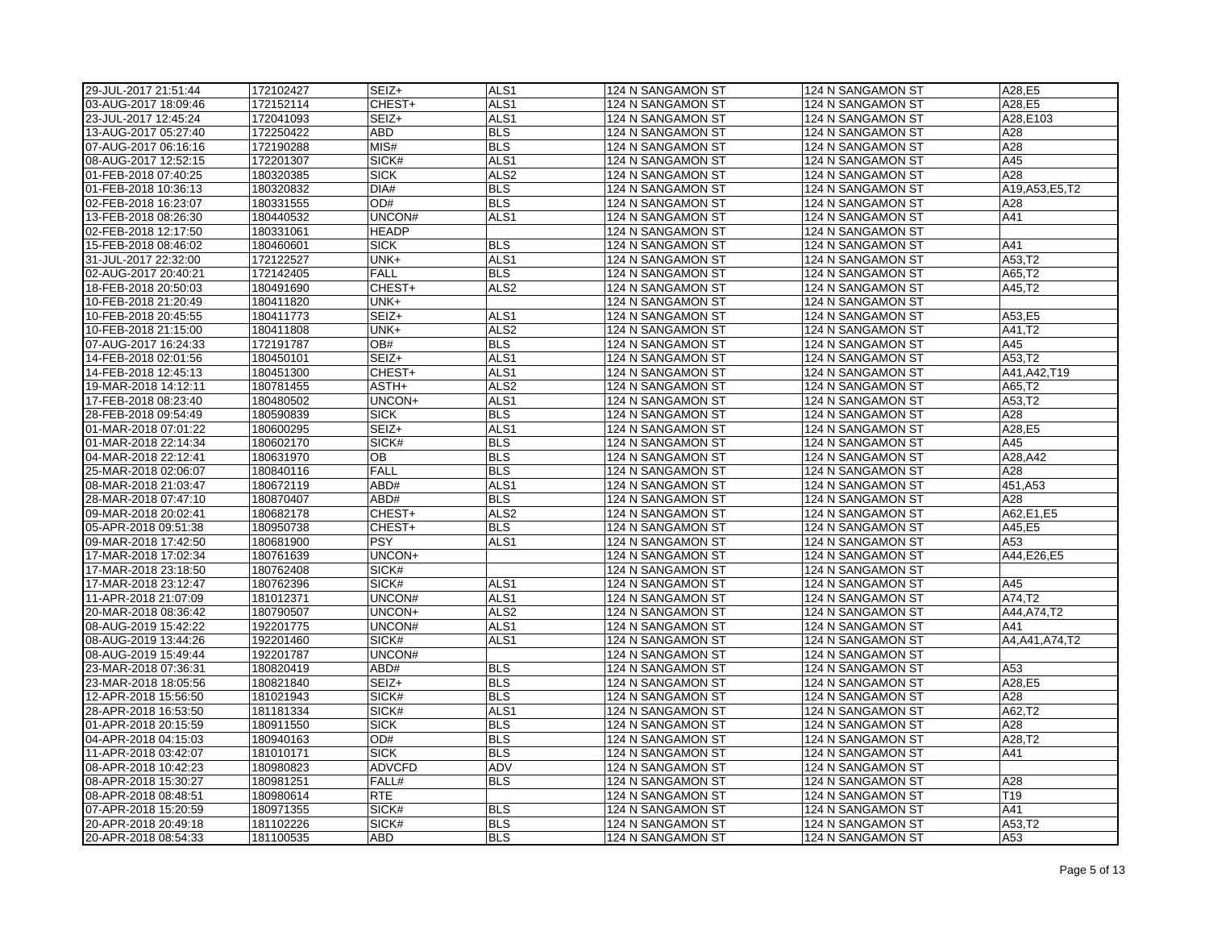| 29-JUL-2017 21:51:44                         | 172102427              | SEIZ+            | ALS <sub>1</sub> | 124 N SANGAMON ST                      | 124 N SANGAMON ST                      | A28.E5              |
|----------------------------------------------|------------------------|------------------|------------------|----------------------------------------|----------------------------------------|---------------------|
| 03-AUG-2017 18:09:46                         | 172152114              | CHEST+           | ALS <sub>1</sub> | 124 N SANGAMON ST                      | 124 N SANGAMON ST                      | A28,E5              |
| 23-JUL-2017 12:45:24                         | 172041093              | SEIZ+            | ALS <sub>1</sub> | 124 N SANGAMON ST                      | 124 N SANGAMON ST                      | A28,E103            |
| 13-AUG-2017 05:27:40                         | 172250422              | ABD              | <b>BLS</b>       | 124 N SANGAMON ST                      | 124 N SANGAMON ST                      | A28                 |
| 07-AUG-2017 06:16:16                         | 172190288              | MIS#             | <b>BLS</b>       | 124 N SANGAMON ST                      | 124 N SANGAMON ST                      | A28                 |
| 08-AUG-2017 12:52:15                         | 172201307              | SICK#            | ALS <sub>1</sub> | 124 N SANGAMON ST                      | 124 N SANGAMON ST                      | A45                 |
| 01-FEB-2018 07:40:25                         | 180320385              | <b>SICK</b>      | ALS <sub>2</sub> | 124 N SANGAMON ST                      | 124 N SANGAMON ST                      | A28                 |
| 01-FEB-2018 10:36:13                         | 180320832              | DIA#             | <b>BLS</b>       | 124 N SANGAMON ST                      | 124 N SANGAMON ST                      | A19, A53, E5, T2    |
| 02-FEB-2018 16:23:07                         | 180331555              | OD#              | <b>BLS</b>       | 124 N SANGAMON ST                      | 124 N SANGAMON ST                      | A28                 |
| 13-FEB-2018 08:26:30                         | 180440532              | UNCON#           | ALS <sub>1</sub> | 124 N SANGAMON ST                      | 124 N SANGAMON ST                      | A41                 |
| 02-FEB-2018 12:17:50                         | 180331061              | <b>HEADP</b>     |                  | 124 N SANGAMON ST                      | 124 N SANGAMON ST                      |                     |
| 15-FEB-2018 08:46:02                         | 180460601              | <b>SICK</b>      | <b>BLS</b>       | 124 N SANGAMON ST                      | 124 N SANGAMON ST                      | A41                 |
| 31-JUL-2017 22:32:00                         | 172122527              | UNK+             | ALS <sub>1</sub> | 124 N SANGAMON ST                      | 124 N SANGAMON ST                      | A53,T2              |
| 02-AUG-2017 20:40:21                         | 172142405              | <b>FALL</b>      | <b>BLS</b>       | 124 N SANGAMON ST                      | 124 N SANGAMON ST                      | A65,T2              |
| 18-FEB-2018 20:50:03                         | 180491690              | CHEST+           | ALS <sub>2</sub> | 124 N SANGAMON ST                      | 124 N SANGAMON ST                      | A45,T2              |
| 10-FEB-2018 21:20:49                         | 180411820              | UNK+             |                  | 124 N SANGAMON ST                      | 124 N SANGAMON ST                      |                     |
| 10-FEB-2018 20:45:55                         | 180411773              | SEIZ+            | ALS <sub>1</sub> | 124 N SANGAMON ST                      | 124 N SANGAMON ST                      | A53,E5              |
| 10-FEB-2018 21:15:00                         | 180411808              | UNK+             | ALS <sub>2</sub> | 124 N SANGAMON ST                      | 124 N SANGAMON ST                      | A41,T2              |
| 07-AUG-2017 16:24:33                         | 172191787              | OB#              | <b>BLS</b>       | 124 N SANGAMON ST                      | 124 N SANGAMON ST                      | A45                 |
| 14-FEB-2018 02:01:56                         | 180450101              | SEIZ+            | ALS <sub>1</sub> | 124 N SANGAMON ST                      | 124 N SANGAMON ST                      | A53,T2              |
| 14-FEB-2018 12:45:13                         | 180451300              | CHEST+           | ALS1             | 124 N SANGAMON ST                      | 124 N SANGAMON ST                      | A41, A42, T19       |
| 19-MAR-2018 14:12:11                         | 180781455              | ASTH+            | ALS <sub>2</sub> | 124 N SANGAMON ST                      | 124 N SANGAMON ST                      | A65,T2              |
| 17-FEB-2018 08:23:40                         | 180480502              | UNCON+           | ALS1             | 124 N SANGAMON ST                      | 124 N SANGAMON ST                      | A53,T2              |
| 28-FEB-2018 09:54:49                         | 180590839              | <b>SICK</b>      | <b>BLS</b>       | 124 N SANGAMON ST                      | 124 N SANGAMON ST                      | A28                 |
| 01-MAR-2018 07:01:22                         | 180600295              | SEIZ+            | ALS <sub>1</sub> | 124 N SANGAMON ST                      | 124 N SANGAMON ST                      | A28,E5              |
| 01-MAR-2018 22:14:34                         | 180602170              | SICK#            | <b>BLS</b>       | 124 N SANGAMON ST                      | 124 N SANGAMON ST                      | A45                 |
| 04-MAR-2018 22:12:41                         | 180631970              | OB               | <b>BLS</b>       | 124 N SANGAMON ST                      | 124 N SANGAMON ST                      | A28, A42            |
| 25-MAR-2018 02:06:07                         | 180840116              | <b>FALL</b>      | <b>BLS</b>       | 124 N SANGAMON ST                      | 124 N SANGAMON ST                      | A28                 |
| 08-MAR-2018 21:03:47                         | 180672119              | ABD#             | ALS1             | 124 N SANGAMON ST                      | 124 N SANGAMON ST                      | 451, A53            |
| 28-MAR-2018 07:47:10                         | 180870407              | ABD#             | <b>BLS</b>       | 124 N SANGAMON ST                      | 124 N SANGAMON ST                      | A28                 |
| 09-MAR-2018 20:02:41                         | 180682178              | CHEST+           | ALS <sub>2</sub> | 124 N SANGAMON ST                      | 124 N SANGAMON ST                      | A62, E1, E5         |
| 05-APR-2018 09:51:38                         | 180950738              | CHEST+           | <b>BLS</b>       | 124 N SANGAMON ST                      | 124 N SANGAMON ST                      | A45,E5              |
|                                              | 180681900              | <b>PSY</b>       | ALS <sub>1</sub> | 124 N SANGAMON ST                      |                                        | A53                 |
| 09-MAR-2018 17:42:50<br>17-MAR-2018 17:02:34 | 180761639              | UNCON+           |                  | 124 N SANGAMON ST                      | 124 N SANGAMON ST<br>124 N SANGAMON ST | A44, E26, E5        |
|                                              |                        | SICK#            |                  |                                        |                                        |                     |
| 17-MAR-2018 23:18:50<br>17-MAR-2018 23:12:47 | 180762408<br>180762396 | SICK#            | ALS <sub>1</sub> | 124 N SANGAMON ST<br>124 N SANGAMON ST | 124 N SANGAMON ST                      | A45                 |
|                                              |                        |                  |                  |                                        | 124 N SANGAMON ST                      |                     |
| 11-APR-2018 21:07:09                         | 181012371              | UNCON#<br>UNCON+ | ALS1             | 124 N SANGAMON ST                      | 124 N SANGAMON ST                      | A74,T2              |
| 20-MAR-2018 08:36:42                         | 180790507              | UNCON#           | ALS <sub>2</sub> | 124 N SANGAMON ST                      | 124 N SANGAMON ST                      | A44, A74, T2<br>A41 |
| 08-AUG-2019 15:42:22                         | 192201775              |                  | ALS <sub>1</sub> | 124 N SANGAMON ST                      | 124 N SANGAMON ST                      |                     |
| 08-AUG-2019 13:44:26                         | 192201460              | SICK#            | ALS <sub>1</sub> | 124 N SANGAMON ST                      | 124 N SANGAMON ST                      | A4, A41, A74, T2    |
| 08-AUG-2019 15:49:44                         | 192201787              | UNCON#           |                  | 124 N SANGAMON ST                      | 124 N SANGAMON ST                      |                     |
| 23-MAR-2018 07:36:31                         | 180820419              | ABD#             | <b>BLS</b>       | 124 N SANGAMON ST                      | 124 N SANGAMON ST                      | A53                 |
| 23-MAR-2018 18:05:56                         | 180821840              | SEIZ+            | <b>BLS</b>       | 124 N SANGAMON ST                      | 124 N SANGAMON ST                      | A28,E5              |
| 12-APR-2018 15:56:50                         | 181021943              | SICK#            | <b>BLS</b>       | 124 N SANGAMON ST                      | 124 N SANGAMON ST                      | A28                 |
| 28-APR-2018 16:53:50                         | 181181334              | SICK#            | ALS <sub>1</sub> | 124 N SANGAMON ST                      | 124 N SANGAMON ST                      | A62,T2              |
| 01-APR-2018 20:15:59                         | 180911550              | <b>SICK</b>      | <b>BLS</b>       | 124 N SANGAMON ST                      | 124 N SANGAMON ST                      | A28                 |
| 04-APR-2018 04:15:03                         | 180940163              | OD#              | <b>BLS</b>       | 124 N SANGAMON ST                      | 124 N SANGAMON ST                      | A28,T2              |
| 11-APR-2018 03:42:07                         | 181010171              | <b>SICK</b>      | <b>BLS</b>       | 124 N SANGAMON ST                      | 124 N SANGAMON ST                      | A41                 |
| 08-APR-2018 10:42:23                         | 180980823              | <b>ADVCFD</b>    | ADV              | 124 N SANGAMON ST                      | 124 N SANGAMON ST                      |                     |
| 08-APR-2018 15:30:27                         | 180981251              | FALL#            | <b>BLS</b>       | 124 N SANGAMON ST                      | 124 N SANGAMON ST                      | A28                 |
| 08-APR-2018 08:48:51                         | 180980614              | <b>RTE</b>       |                  | 124 N SANGAMON ST                      | 124 N SANGAMON ST                      | T <sub>19</sub>     |
| 07-APR-2018 15:20:59                         | 180971355              | SICK#            | <b>BLS</b>       | 124 N SANGAMON ST                      | 124 N SANGAMON ST                      | A41                 |
| 20-APR-2018 20:49:18                         | 181102226              | SICK#            | <b>BLS</b>       | 124 N SANGAMON ST                      | 124 N SANGAMON ST                      | A53,T2              |
| 20-APR-2018 08:54:33                         | 181100535              | ABD              | <b>BLS</b>       | 124 N SANGAMON ST                      | 124 N SANGAMON ST                      | A53                 |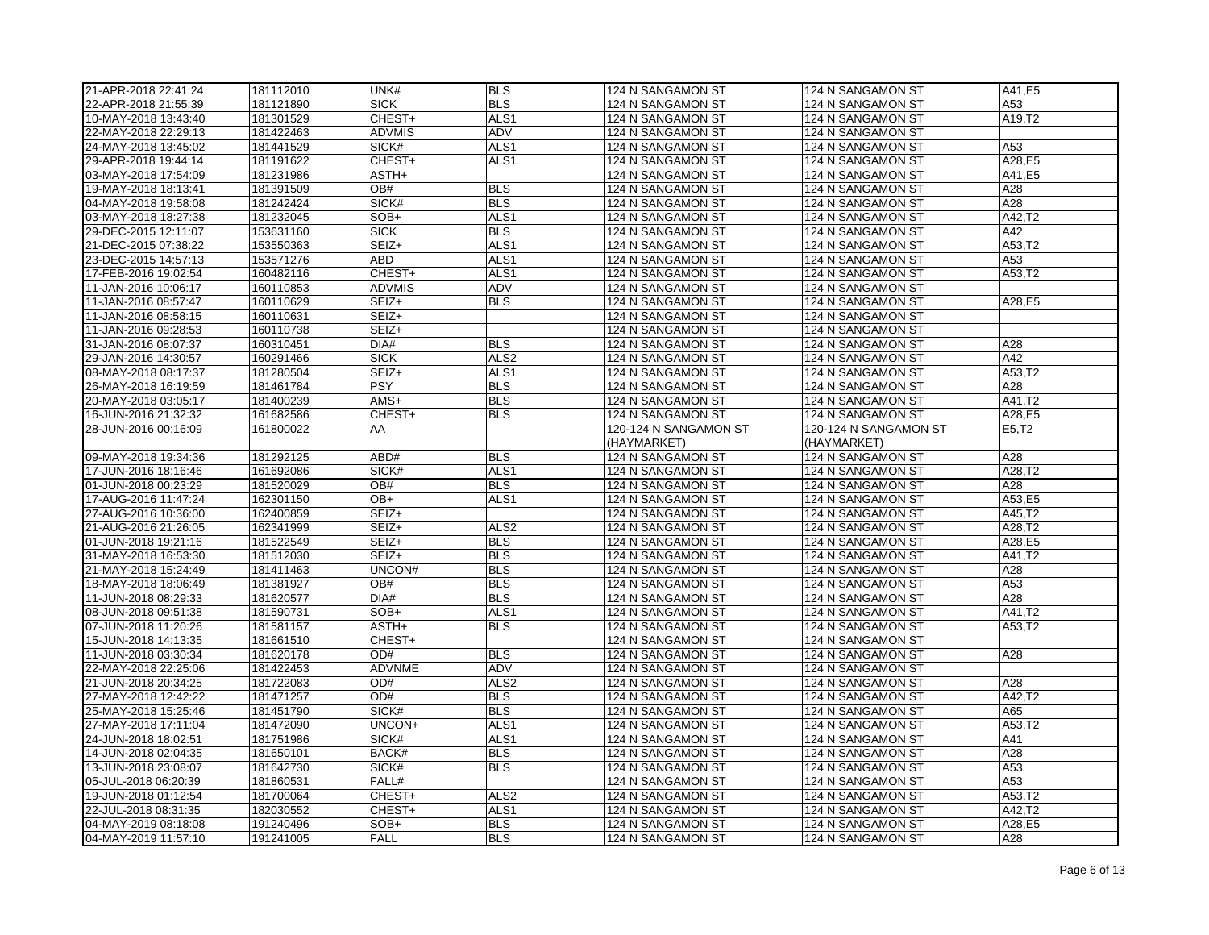| 21-APR-2018 22:41:24                         | 181112010              | UNK#           | <b>BLS</b>                     | 124 N SANGAMON ST                      | 124 N SANGAMON ST                      | A41,E5           |
|----------------------------------------------|------------------------|----------------|--------------------------------|----------------------------------------|----------------------------------------|------------------|
| 22-APR-2018 21:55:39                         | 181121890              | <b>SICK</b>    | <b>BLS</b>                     | 124 N SANGAMON ST                      | 124 N SANGAMON ST                      | A53              |
| 10-MAY-2018 13:43:40                         | 181301529              | CHEST+         | ALS <sub>1</sub>               | 124 N SANGAMON ST                      | 124 N SANGAMON ST                      | A19,T2           |
| 22-MAY-2018 22:29:13                         | 181422463              | <b>ADVMIS</b>  | ADV                            | 124 N SANGAMON ST                      | 124 N SANGAMON ST                      |                  |
| 24-MAY-2018 13:45:02                         | 181441529              | SICK#          | ALS <sub>1</sub>               | 124 N SANGAMON ST                      | 124 N SANGAMON ST                      | A53              |
| 29-APR-2018 19:44:14                         | 181191622              | CHEST+         | ALS <sub>1</sub>               | 124 N SANGAMON ST                      | 124 N SANGAMON ST                      | A28,E5           |
| 03-MAY-2018 17:54:09                         | 181231986              | ASTH+          |                                | 124 N SANGAMON ST                      | 124 N SANGAMON ST                      | A41,E5           |
| 19-MAY-2018 18:13:41                         | 181391509              | OB#            | <b>BLS</b>                     | 124 N SANGAMON ST                      | 124 N SANGAMON ST                      | A28              |
| 04-MAY-2018 19:58:08                         | 181242424              | SICK#          | <b>BLS</b>                     | 124 N SANGAMON ST                      | 124 N SANGAMON ST                      | A28              |
| 03-MAY-2018 18:27:38                         | 181232045              | SOB+           | ALS <sub>1</sub>               | 124 N SANGAMON ST                      | 124 N SANGAMON ST                      | A42,T2           |
| 29-DEC-2015 12:11:07                         | 153631160              | <b>SICK</b>    | <b>BLS</b>                     | 124 N SANGAMON ST                      | 124 N SANGAMON ST                      | A42              |
| 21-DEC-2015 07:38:22                         | 153550363              | SEIZ+          | ALS1                           | 124 N SANGAMON ST                      | 124 N SANGAMON ST                      | A53,T2           |
| 23-DEC-2015 14:57:13                         | 153571276              | <b>ABD</b>     | ALS <sub>1</sub>               | 124 N SANGAMON ST                      | 124 N SANGAMON ST                      | A53              |
| 17-FEB-2016 19:02:54                         | 160482116              | CHEST+         | ALS <sub>1</sub>               | 124 N SANGAMON ST                      | 124 N SANGAMON ST                      | A53,T2           |
| 11-JAN-2016 10:06:17                         | 160110853              | <b>ADVMIS</b>  | ADV                            | 124 N SANGAMON ST                      | 124 N SANGAMON ST                      |                  |
| 11-JAN-2016 08:57:47                         | 160110629              | SEIZ+          | <b>BLS</b>                     | 124 N SANGAMON ST                      | 124 N SANGAMON ST                      | A28,E5           |
| 11-JAN-2016 08:58:15                         | 160110631              | SEIZ+          |                                | 124 N SANGAMON ST                      | 124 N SANGAMON ST                      |                  |
| 11-JAN-2016 09:28:53                         | 160110738              | SEIZ+          |                                | 124 N SANGAMON ST                      | 124 N SANGAMON ST                      |                  |
| 31-JAN-2016 08:07:37                         | 160310451              | DIA#           | <b>BLS</b>                     | 124 N SANGAMON ST                      | 124 N SANGAMON ST                      | A28              |
| 29-JAN-2016 14:30:57                         | 160291466              | <b>SICK</b>    | ALS <sub>2</sub>               | 124 N SANGAMON ST                      | 124 N SANGAMON ST                      | A42              |
| 08-MAY-2018 08:17:37                         | 181280504              | SEIZ+          | ALS1                           | 124 N SANGAMON ST                      | 124 N SANGAMON ST                      | A53,T2           |
| 26-MAY-2018 16:19:59                         | 181461784              | <b>PSY</b>     | <b>BLS</b>                     | 124 N SANGAMON ST                      | 124 N SANGAMON ST                      | A28              |
| 20-MAY-2018 03:05:17                         | 181400239              | AMS+           | <b>BLS</b>                     | 124 N SANGAMON ST                      | 124 N SANGAMON ST                      | A41,T2           |
| 16-JUN-2016 21:32:32                         | 161682586              | CHEST+         | <b>BLS</b>                     | 124 N SANGAMON ST                      | 124 N SANGAMON ST                      | A28,E5           |
| 28-JUN-2016 00:16:09                         | 161800022              | AA             |                                | 120-124 N SANGAMON ST                  | 120-124 N SANGAMON ST                  | E5, T2           |
|                                              |                        |                |                                | (HAYMARKET)                            | (HAYMARKET)                            |                  |
| 09-MAY-2018 19:34:36                         | 181292125              | ABD#           | <b>BLS</b>                     | 124 N SANGAMON ST                      | 124 N SANGAMON ST                      | A28              |
| 17-JUN-2016 18:16:46                         | 161692086              | SICK#          | ALS <sub>1</sub>               | 124 N SANGAMON ST                      | 124 N SANGAMON ST                      | A28,T2           |
|                                              | 181520029              | OB#            | <b>BLS</b>                     | 124 N SANGAMON ST                      | 124 N SANGAMON ST                      | A28              |
| 01-JUN-2018 00:23:29<br>17-AUG-2016 11:47:24 | 162301150              | OB+            | ALS <sub>1</sub>               | 124 N SANGAMON ST                      | 124 N SANGAMON ST                      | A53,E5           |
|                                              |                        | SEIZ+          |                                |                                        |                                        | A45,T2           |
| 27-AUG-2016 10:36:00                         | 162400859              | SEIZ+          | ALS <sub>2</sub>               | 124 N SANGAMON ST<br>124 N SANGAMON ST | 124 N SANGAMON ST<br>124 N SANGAMON ST | A28,T2           |
| 21-AUG-2016 21:26:05                         | 162341999              |                |                                |                                        |                                        |                  |
| 01-JUN-2018 19:21:16                         | 181522549<br>181512030 | SEIZ+<br>SEIZ+ | <b>BLS</b><br><b>BLS</b>       | 124 N SANGAMON ST<br>124 N SANGAMON ST | 124 N SANGAMON ST<br>124 N SANGAMON ST | A28,E5<br>A41,T2 |
| 31-MAY-2018 16:53:30                         |                        | UNCON#         | <b>BLS</b>                     |                                        |                                        | A28              |
| 21-MAY-2018 15:24:49                         | 181411463              |                |                                | 124 N SANGAMON ST                      | 124 N SANGAMON ST                      |                  |
| 18-MAY-2018 18:06:49                         | 181381927              | OB#            | <b>BLS</b>                     | 124 N SANGAMON ST                      | 124 N SANGAMON ST                      | A53<br>A28       |
| 11-JUN-2018 08:29:33                         | 181620577              | DIA#<br>SOB+   | <b>BLS</b><br>ALS <sub>1</sub> | 124 N SANGAMON ST                      | 124 N SANGAMON ST                      | A41.T2           |
| 08-JUN-2018 09:51:38                         | 181590731              |                |                                | 124 N SANGAMON ST                      | 124 N SANGAMON ST                      |                  |
| 07-JUN-2018 11:20:26                         | 181581157              | ASTH+          | <b>BLS</b>                     | 124 N SANGAMON ST                      | 124 N SANGAMON ST                      | A53,T2           |
| 15-JUN-2018 14:13:35                         | 181661510              | CHEST+         |                                | 124 N SANGAMON ST                      | 124 N SANGAMON ST                      |                  |
| 11-JUN-2018 03:30:34                         | 181620178              | OD#            | <b>BLS</b>                     | 124 N SANGAMON ST                      | 124 N SANGAMON ST                      | A28              |
| 22-MAY-2018 22:25:06                         | 181422453              | <b>ADVNME</b>  | ADV                            | 124 N SANGAMON ST                      | 124 N SANGAMON ST                      |                  |
| 21-JUN-2018 20:34:25                         | 181722083              | OD#            | ALS <sub>2</sub>               | 124 N SANGAMON ST                      | 124 N SANGAMON ST                      | A28              |
| 27-MAY-2018 12:42:22                         | 181471257              | OD#            | <b>BLS</b>                     | 124 N SANGAMON ST                      | 124 N SANGAMON ST                      | A42,T2           |
| 25-MAY-2018 15:25:46                         | 181451790              | SICK#          | <b>BLS</b>                     | 124 N SANGAMON ST                      | 124 N SANGAMON ST                      | A65              |
| 27-MAY-2018 17:11:04                         | 181472090              | UNCON+         | ALS1                           | 124 N SANGAMON ST                      | 124 N SANGAMON ST                      | A53,T2           |
| 24-JUN-2018 18:02:51                         | 181751986              | SICK#          | ALS <sub>1</sub>               | 124 N SANGAMON ST                      | 124 N SANGAMON ST                      | A41              |
| 14-JUN-2018 02:04:35                         | 181650101              | BACK#          | <b>BLS</b>                     | 124 N SANGAMON ST                      | 124 N SANGAMON ST                      | A28              |
| 13-JUN-2018 23:08:07                         | 181642730              | SICK#          | <b>BLS</b>                     | 124 N SANGAMON ST                      | 124 N SANGAMON ST                      | A53              |
| 05-JUL-2018 06:20:39                         | 181860531              | FALL#          |                                | 124 N SANGAMON ST                      | 124 N SANGAMON ST                      | A53              |
| 19-JUN-2018 01:12:54                         | 181700064              | CHEST+         | ALS <sub>2</sub>               | 124 N SANGAMON ST                      | 124 N SANGAMON ST                      | A53,T2           |
| 22-JUL-2018 08:31:35                         | 182030552              | CHEST+         | ALS1                           | 124 N SANGAMON ST                      | 124 N SANGAMON ST                      | A42,T2           |
| 04-MAY-2019 08:18:08                         | 191240496              | SOB+           | <b>BLS</b>                     | 124 N SANGAMON ST                      | 124 N SANGAMON ST                      | A28,E5           |
| 04-MAY-2019 11:57:10                         | 191241005              | <b>FALL</b>    | <b>BLS</b>                     | 124 N SANGAMON ST                      | 124 N SANGAMON ST                      | A28              |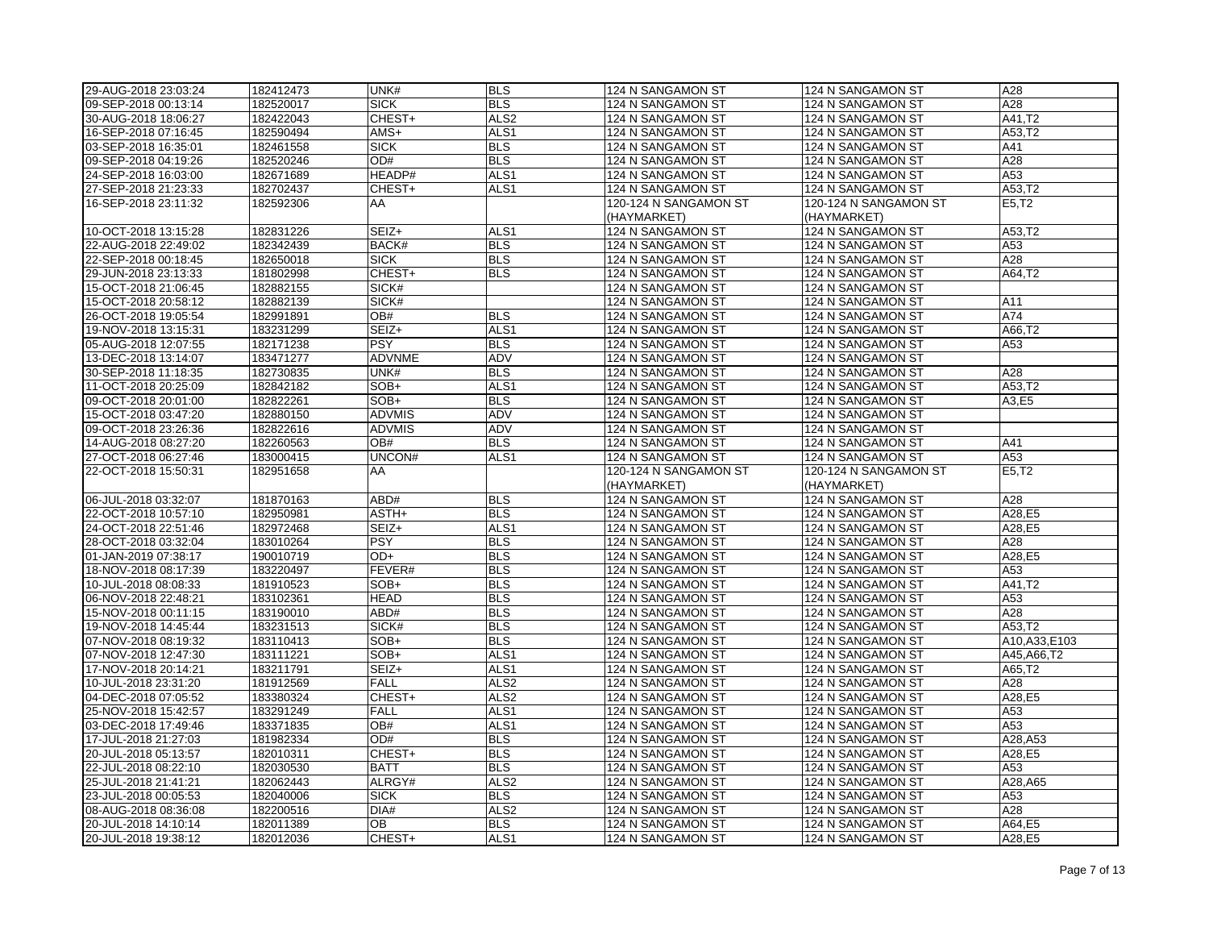| 29-AUG-2018 23:03:24                         | 182412473              | UNK#                | <b>BLS</b>         | 124 N SANGAMON ST                      | 124 N SANGAMON ST                      | A28              |
|----------------------------------------------|------------------------|---------------------|--------------------|----------------------------------------|----------------------------------------|------------------|
| 09-SEP-2018 00:13:14                         | 182520017              | <b>SICK</b>         | <b>BLS</b>         | 124 N SANGAMON ST                      | 124 N SANGAMON ST                      | A28              |
| 30-AUG-2018 18:06:27                         | 182422043              | CHEST+              | ALS <sub>2</sub>   | 124 N SANGAMON ST                      | 124 N SANGAMON ST                      | A41,T2           |
| 16-SEP-2018 07:16:45                         | 182590494              | AMS+                | ALS1               | 124 N SANGAMON ST                      | 124 N SANGAMON ST                      | A53,T2           |
| 03-SEP-2018 16:35:01                         | 182461558              | <b>SICK</b>         | <b>BLS</b>         | 124 N SANGAMON ST                      | 124 N SANGAMON ST                      | A41              |
| 09-SEP-2018 04:19:26                         | 182520246              | OD#                 | <b>BLS</b>         | 124 N SANGAMON ST                      | 124 N SANGAMON ST                      | A28              |
| 24-SEP-2018 16:03:00                         | 182671689              | HEADP#              | ALS1               | 124 N SANGAMON ST                      | 124 N SANGAMON ST                      | A53              |
| 27-SEP-2018 21:23:33                         | 182702437              | CHEST+              | ALS1               | 124 N SANGAMON ST                      | 124 N SANGAMON ST                      | A53,T2           |
| 16-SEP-2018 23:11:32                         | 182592306              | AA                  |                    | 120-124 N SANGAMON ST                  | 120-124 N SANGAMON ST                  | E5, T2           |
|                                              |                        |                     |                    | (HAYMARKET)                            | (HAYMARKET)                            |                  |
| 10-OCT-2018 13:15:28                         | 182831226              | SEIZ+               | ALS <sub>1</sub>   | 124 N SANGAMON ST                      | 124 N SANGAMON ST                      | A53,T2           |
| 22-AUG-2018 22:49:02                         | 182342439              | BACK#               | <b>BLS</b>         | 124 N SANGAMON ST                      | 124 N SANGAMON ST                      | A53              |
| 22-SEP-2018 00:18:45                         | 182650018              | <b>SICK</b>         | <b>BLS</b>         | 124 N SANGAMON ST                      | 124 N SANGAMON ST                      | A28              |
|                                              |                        | CHEST+              |                    |                                        |                                        |                  |
| 29-JUN-2018 23:13:33                         | 181802998              |                     | <b>BLS</b>         | 124 N SANGAMON ST                      | 124 N SANGAMON ST                      | A64,T2           |
| 15-OCT-2018 21:06:45                         | 182882155              | SICK#               |                    | 124 N SANGAMON ST                      | 124 N SANGAMON ST                      |                  |
| 15-OCT-2018 20:58:12                         | 182882139              | SICK#               |                    | 124 N SANGAMON ST                      | 124 N SANGAMON ST                      | A11              |
| 26-OCT-2018 19:05:54                         | 182991891              | $\overline{OB#}$    | BLS                | 124 N SANGAMON ST                      | 124 N SANGAMON ST                      | A74              |
| 19-NOV-2018 13:15:31                         | 183231299              | SEIZ+               | ALS1               | 124 N SANGAMON ST                      | 124 N SANGAMON ST                      | A66,T2           |
| 05-AUG-2018 12:07:55                         | 182171238              | <b>PSY</b>          | <b>BLS</b>         | 124 N SANGAMON ST                      | 124 N SANGAMON ST                      | A53              |
| 13-DEC-2018 13:14:07                         | 183471277              | <b>ADVNME</b>       | <b>ADV</b>         | 124 N SANGAMON ST                      | 124 N SANGAMON ST                      |                  |
| 30-SEP-2018 11:18:35                         | 182730835              | UNK#                | <b>BLS</b>         | 124 N SANGAMON ST                      | 124 N SANGAMON ST                      | A28              |
| 11-OCT-2018 20:25:09                         | 182842182              | SOB+                | ALS <sub>1</sub>   | 124 N SANGAMON ST                      | 124 N SANGAMON ST                      | A53.T2           |
| 09-OCT-2018 20:01:00                         | 182822261              | $SOB+$              | <b>BLS</b>         | 124 N SANGAMON ST                      | 124 N SANGAMON ST                      | A3,E5            |
| 15-OCT-2018 03:47:20                         | 182880150              | <b>ADVMIS</b>       | <b>ADV</b>         | 124 N SANGAMON ST                      | 124 N SANGAMON ST                      |                  |
| 09-OCT-2018 23:26:36                         | 182822616              | <b>ADVMIS</b>       | ADV                | 124 N SANGAMON ST                      | 124 N SANGAMON ST                      |                  |
| 14-AUG-2018 08:27:20                         | 182260563              | OB#                 | <b>BLS</b>         | 124 N SANGAMON ST                      | 124 N SANGAMON ST                      | A41              |
| 27-OCT-2018 06:27:46                         | 183000415              | UNCON#              | ALS1               | 124 N SANGAMON ST                      | 124 N SANGAMON ST                      | A53              |
|                                              |                        |                     |                    |                                        |                                        |                  |
| 22-OCT-2018 15:50:31                         | 182951658              | AA                  |                    | 120-124 N SANGAMON ST                  | 120-124 N SANGAMON ST                  | E5,T2            |
|                                              |                        |                     |                    | (HAYMARKET)                            | (HAYMARKET)                            |                  |
| 06-JUL-2018 03:32:07                         | 181870163              | ABD#                | <b>BLS</b>         | 124 N SANGAMON ST                      | 124 N SANGAMON ST                      | A28              |
| 22-OCT-2018 10:57:10                         | 182950981              | ASTH+               | <b>BLS</b>         | 124 N SANGAMON ST                      | 124 N SANGAMON ST                      |                  |
| 24-OCT-2018 22:51:46                         | 182972468              | SEIZ+               | ALS <sub>1</sub>   | 124 N SANGAMON ST                      | 124 N SANGAMON ST                      | A28,E5<br>A28,E5 |
| 28-OCT-2018 03:32:04                         | 183010264              | <b>PSY</b>          | <b>BLS</b>         | 124 N SANGAMON ST                      | 124 N SANGAMON ST                      | A28              |
| 01-JAN-2019 07:38:17                         | 190010719              | OD+                 | <b>BLS</b>         | 124 N SANGAMON ST                      | 124 N SANGAMON ST                      | A28,E5           |
| 18-NOV-2018 08:17:39                         | 183220497              | FEVER#              | <b>BLS</b>         | 124 N SANGAMON ST                      | 124 N SANGAMON ST                      | A53              |
| 10-JUL-2018 08:08:33                         | 181910523              | SOB+                | <b>BLS</b>         | 124 N SANGAMON ST                      | 124 N SANGAMON ST                      | A41,T2           |
| 06-NOV-2018 22:48:21                         | 183102361              | <b>HEAD</b>         | <b>BLS</b>         | 124 N SANGAMON ST                      | 124 N SANGAMON ST                      | A53              |
|                                              |                        | ABD#                |                    |                                        |                                        | A28              |
| 15-NOV-2018 00:11:15                         | 183190010              |                     | <b>BLS</b>         | 124 N SANGAMON ST                      | 124 N SANGAMON ST                      |                  |
| 19-NOV-2018 14:45:44                         | 183231513              | SICK#               | <b>BLS</b>         | 124 N SANGAMON ST                      | 124 N SANGAMON ST                      | A53,T2           |
| 07-NOV-2018 08:19:32                         | 183110413              | SOB+                | <b>BLS</b>         | 124 N SANGAMON ST                      | 124 N SANGAMON ST                      | A10, A33, E103   |
| 07-NOV-2018 12:47:30                         | 183111221              | SOB+                | ALS1               | 124 N SANGAMON ST                      | 124 N SANGAMON ST                      | A45, A66, T2     |
| 17-NOV-2018 20:14:21                         | 183211791              | SEIZ+               | ALS <sub>1</sub>   | 124 N SANGAMON ST                      | 124 N SANGAMON ST                      | A65,T2           |
| 10-JUL-2018 23:31:20                         | 181912569              | <b>FALL</b>         | ALS <sub>2</sub>   | 124 N SANGAMON ST                      | 124 N SANGAMON ST                      | A28              |
| 04-DEC-2018 07:05:52                         | 183380324              | CHEST+              | ALS <sub>2</sub>   | 124 N SANGAMON ST                      | 124 N SANGAMON ST                      | A28,E5           |
| 25-NOV-2018 15:42:57                         | 183291249              | <b>FALL</b>         | ALS1               | 124 N SANGAMON ST                      | 124 N SANGAMON ST                      | A53              |
| 03-DEC-2018 17:49:46                         | 183371835              | OB#                 | ALS1               | 124 N SANGAMON ST                      | 124 N SANGAMON ST                      | A53              |
| 17-JUL-2018 21:27:03                         | 181982334              | OD#                 | <b>BLS</b>         | 124 N SANGAMON ST                      | 124 N SANGAMON ST                      | A28, A53         |
| 20-JUL-2018 05:13:57                         | 182010311              | CHEST+              | <b>BLS</b>         | 124 N SANGAMON ST                      | 124 N SANGAMON ST                      | A28,E5           |
| 22-JUL-2018 08:22:10                         | 182030530              | <b>BATT</b>         | <b>BLS</b>         | 124 N SANGAMON ST                      | 124 N SANGAMON ST                      | A53              |
| 25-JUL-2018 21:41:21                         | 182062443              | ALRGY#              | ALS <sub>2</sub>   | 124 N SANGAMON ST                      | 124 N SANGAMON ST                      | A28, A65         |
| 23-JUL-2018 00:05:53                         | 182040006              | <b>SICK</b>         | <b>BLS</b>         | 124 N SANGAMON ST                      | 124 N SANGAMON ST                      | A53              |
| 08-AUG-2018 08:36:08                         | 182200516              | DIA#                | ALS <sub>2</sub>   | 124 N SANGAMON ST                      | 124 N SANGAMON ST                      | A28              |
| 20-JUL-2018 14:10:14<br>20-JUL-2018 19:38:12 | 182011389<br>182012036 | <b>OB</b><br>CHEST+ | <b>BLS</b><br>ALS1 | 124 N SANGAMON ST<br>124 N SANGAMON ST | 124 N SANGAMON ST<br>124 N SANGAMON ST | A64,E5<br>A28,E5 |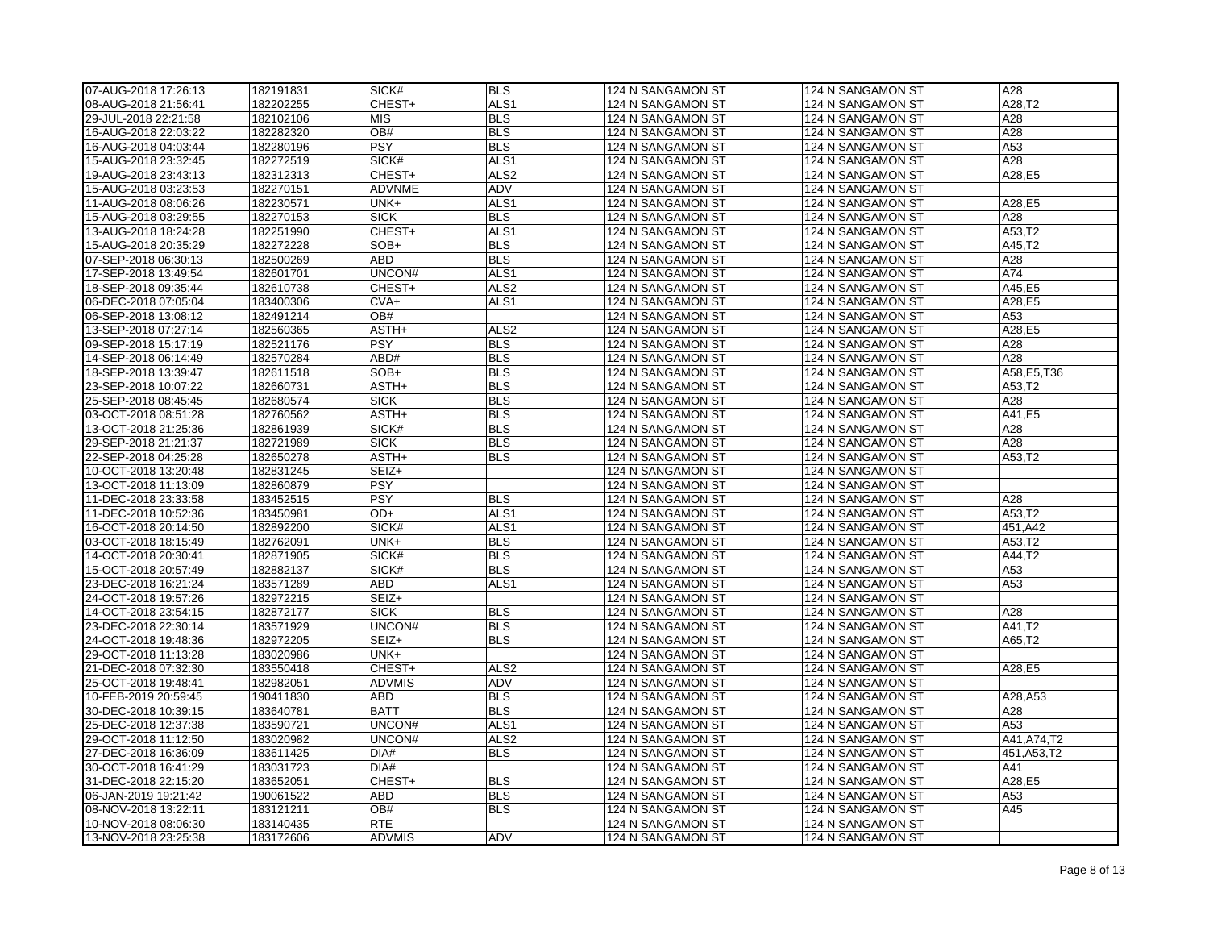| 07-AUG-2018 17:26:13 | 182191831 | SICK#             | <b>BLS</b>               | 124 N SANGAMON ST | 124 N SANGAMON ST | A28          |
|----------------------|-----------|-------------------|--------------------------|-------------------|-------------------|--------------|
| 08-AUG-2018 21:56:41 | 182202255 | CHEST+            | ALS <sub>1</sub>         | 124 N SANGAMON ST | 124 N SANGAMON ST | A28,T2       |
| 29-JUL-2018 22:21:58 | 182102106 | <b>MIS</b>        | <b>BLS</b>               | 124 N SANGAMON ST | 124 N SANGAMON ST | A28          |
| 16-AUG-2018 22:03:22 | 182282320 | OB#               | <b>BLS</b>               | 124 N SANGAMON ST | 124 N SANGAMON ST | A28          |
| 16-AUG-2018 04:03:44 | 182280196 | <b>PSY</b>        | <b>BLS</b>               | 124 N SANGAMON ST | 124 N SANGAMON ST | A53          |
| 15-AUG-2018 23:32:45 | 182272519 | SICK#             | ALS <sub>1</sub>         | 124 N SANGAMON ST | 124 N SANGAMON ST | A28          |
| 19-AUG-2018 23:43:13 | 182312313 | CHEST+            | ALS <sub>2</sub>         | 124 N SANGAMON ST | 124 N SANGAMON ST | A28,E5       |
| 15-AUG-2018 03:23:53 | 182270151 | <b>ADVNME</b>     | <b>ADV</b>               | 124 N SANGAMON ST | 124 N SANGAMON ST |              |
| 11-AUG-2018 08:06:26 | 182230571 | UNK+              | ALS <sub>1</sub>         | 124 N SANGAMON ST | 124 N SANGAMON ST | A28,E5       |
| 15-AUG-2018 03:29:55 | 182270153 | <b>SICK</b>       | <b>BLS</b>               | 124 N SANGAMON ST | 124 N SANGAMON ST | A28          |
| 13-AUG-2018 18:24:28 | 182251990 | CHEST+            | ALS <sub>1</sub>         | 124 N SANGAMON ST | 124 N SANGAMON ST | A53,T2       |
| 15-AUG-2018 20:35:29 | 182272228 | SOB+              | <b>BLS</b>               | 124 N SANGAMON ST | 124 N SANGAMON ST | A45,T2       |
| 07-SEP-2018 06:30:13 | 182500269 | <b>ABD</b>        | <b>BLS</b>               | 124 N SANGAMON ST | 124 N SANGAMON ST | A28          |
| 17-SEP-2018 13:49:54 | 182601701 | UNCON#            | ALS <sub>1</sub>         | 124 N SANGAMON ST | 124 N SANGAMON ST | A74          |
| 18-SEP-2018 09:35:44 | 182610738 | CHEST+            | ALS <sub>2</sub>         | 124 N SANGAMON ST | 124 N SANGAMON ST | A45,E5       |
| 06-DEC-2018 07:05:04 | 183400306 | $CVA+$            | ALS1                     | 124 N SANGAMON ST | 124 N SANGAMON ST | A28,E5       |
| 06-SEP-2018 13:08:12 | 182491214 | OB#               |                          | 124 N SANGAMON ST | 124 N SANGAMON ST | A53          |
| 13-SEP-2018 07:27:14 | 182560365 | ASTH+             | ALS <sub>2</sub>         | 124 N SANGAMON ST | 124 N SANGAMON ST | A28,E5       |
| 09-SEP-2018 15:17:19 | 182521176 | <b>PSY</b>        | <b>BLS</b>               | 124 N SANGAMON ST | 124 N SANGAMON ST | A28          |
| 14-SEP-2018 06:14:49 | 182570284 | ABD#              | <b>BLS</b>               | 124 N SANGAMON ST | 124 N SANGAMON ST | A28          |
| 18-SEP-2018 13:39:47 | 182611518 | SOB+              | <b>BLS</b>               | 124 N SANGAMON ST | 124 N SANGAMON ST | A58, E5, T36 |
| 23-SEP-2018 10:07:22 | 182660731 | ASTH+             | <b>BLS</b>               | 124 N SANGAMON ST | 124 N SANGAMON ST | A53,T2       |
| 25-SEP-2018 08:45:45 | 182680574 | <b>SICK</b>       | <b>BLS</b>               | 124 N SANGAMON ST | 124 N SANGAMON ST | A28          |
| 03-OCT-2018 08:51:28 | 182760562 | ASTH+             | <b>BLS</b>               | 124 N SANGAMON ST | 124 N SANGAMON ST | A41,E5       |
| 3-OCT-2018 21:25:36  | 182861939 | SICK#             | <b>BLS</b>               | 124 N SANGAMON ST | 124 N SANGAMON ST | A28          |
| 29-SEP-2018 21:21:37 | 182721989 | <b>SICK</b>       | <b>BLS</b>               | 124 N SANGAMON ST | 124 N SANGAMON ST | A28          |
| 22-SEP-2018 04:25:28 | 182650278 | ASTH+             | <b>BLS</b>               | 124 N SANGAMON ST | 124 N SANGAMON ST | A53,T2       |
| 10-OCT-2018 13:20:48 | 182831245 | SEIZ+             |                          | 124 N SANGAMON ST | 124 N SANGAMON ST |              |
| 13-OCT-2018 11:13:09 | 182860879 | <b>PSY</b>        |                          | 124 N SANGAMON ST | 124 N SANGAMON ST |              |
| 11-DEC-2018 23:33:58 | 183452515 | PSY               | <b>BLS</b>               | 124 N SANGAMON ST | 124 N SANGAMON ST | A28          |
| 11-DEC-2018 10:52:36 | 183450981 | OD+               | ALS <sub>1</sub>         | 124 N SANGAMON ST | 124 N SANGAMON ST | A53,T2       |
| 16-OCT-2018 20:14:50 | 182892200 | SICK#             | ALS <sub>1</sub>         | 124 N SANGAMON ST | 124 N SANGAMON ST | 451, A42     |
| 03-OCT-2018 18:15:49 | 182762091 | UNK+              | <b>BLS</b>               | 124 N SANGAMON ST | 124 N SANGAMON ST | A53,T2       |
| 14-OCT-2018 20:30:41 | 182871905 | SICK#             | <b>BLS</b>               | 124 N SANGAMON ST | 124 N SANGAMON ST | A44,T2       |
| 15-OCT-2018 20:57:49 | 182882137 | SICK#             | <b>BLS</b>               | 124 N SANGAMON ST | 124 N SANGAMON ST | A53          |
| 23-DEC-2018 16:21:24 | 183571289 | <b>ABD</b>        | ALS <sub>1</sub>         | 124 N SANGAMON ST | 124 N SANGAMON ST | A53          |
| 24-OCT-2018 19:57:26 | 182972215 | SEIZ+             |                          | 124 N SANGAMON ST | 124 N SANGAMON ST |              |
| 14-OCT-2018 23:54:15 | 182872177 | <b>SICK</b>       | <b>BLS</b>               | 124 N SANGAMON ST | 124 N SANGAMON ST | A28          |
| 23-DEC-2018 22:30:14 | 183571929 | UNCON#            | <b>BLS</b>               | 124 N SANGAMON ST | 124 N SANGAMON ST | A41,T2       |
| 24-OCT-2018 19:48:36 | 182972205 | SEIZ+             | <b>BLS</b>               | 124 N SANGAMON ST | 124 N SANGAMON ST | A65,T2       |
| 29-OCT-2018 11:13:28 | 183020986 | UNK+              |                          | 124 N SANGAMON ST | 124 N SANGAMON ST |              |
| 21-DEC-2018 07:32:30 | 183550418 | CHEST+            | ALS <sub>2</sub>         | 124 N SANGAMON ST | 124 N SANGAMON ST | A28,E5       |
| 25-OCT-2018 19:48:41 | 182982051 | <b>ADVMIS</b>     | ADV                      | 124 N SANGAMON ST | 124 N SANGAMON ST |              |
| 10-FEB-2019 20:59:45 | 190411830 | <b>ABD</b>        | <b>BLS</b>               | 124 N SANGAMON ST | 124 N SANGAMON ST | A28, A53     |
| 30-DEC-2018 10:39:15 | 183640781 | <b>BATT</b>       | <b>BLS</b>               | 124 N SANGAMON ST | 124 N SANGAMON ST | A28          |
| 25-DEC-2018 12:37:38 | 183590721 | UNCON#            | ALS <sub>1</sub>         | 124 N SANGAMON ST | 124 N SANGAMON ST | A53          |
| 29-OCT-2018 11:12:50 | 183020982 | UNCON#            | ALS <sub>2</sub>         | 124 N SANGAMON ST | 124 N SANGAMON ST | A41, A74, T2 |
| 27-DEC-2018 16:36:09 | 183611425 | DIA#              | <b>BLS</b>               | 124 N SANGAMON ST | 124 N SANGAMON ST | 451, A53, T2 |
| 30-OCT-2018 16:41:29 | 183031723 | DIA#              |                          | 124 N SANGAMON ST | 124 N SANGAMON ST | A41          |
| 31-DEC-2018 22:15:20 | 183652051 | CHEST+            | <b>BLS</b>               | 124 N SANGAMON ST | 124 N SANGAMON ST | A28,E5       |
| 06-JAN-2019 19:21:42 | 190061522 | <b>ABD</b><br>OB# | <b>BLS</b><br><b>BLS</b> | 124 N SANGAMON ST | 124 N SANGAMON ST | A53<br>A45   |
| 08-NOV-2018 13:22:11 | 183121211 | <b>RTE</b>        |                          | 124 N SANGAMON ST | 124 N SANGAMON ST |              |
| 10-NOV-2018 08:06:30 | 183140435 |                   |                          | 124 N SANGAMON ST | 124 N SANGAMON ST |              |
| 13-NOV-2018 23:25:38 | 183172606 | ADVMIS            | ADV                      | 124 N SANGAMON ST | 124 N SANGAMON ST |              |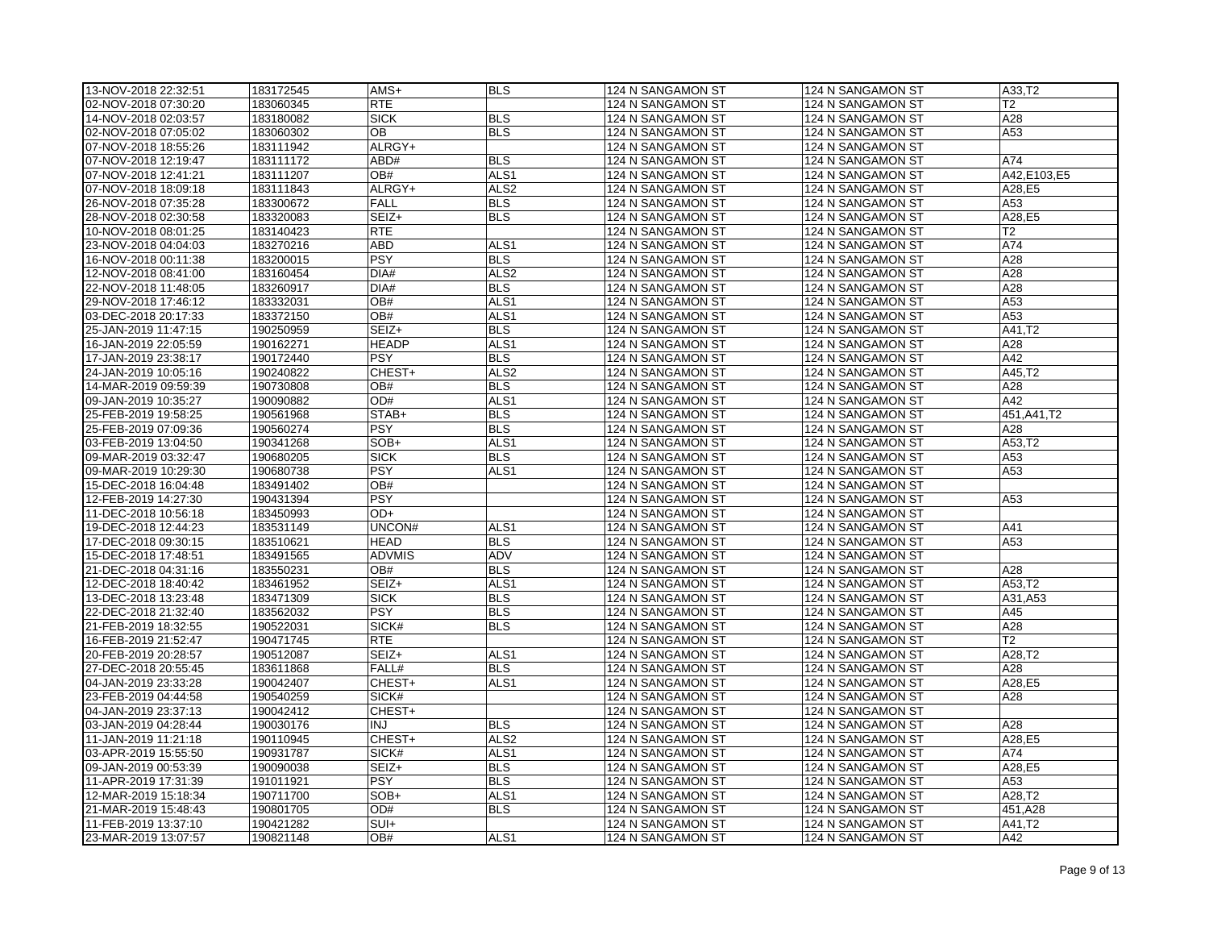| 13-NOV-2018 22:32:51 | 183172545              | $AMS+$              | <b>BLS</b>               | 124 N SANGAMON ST                      | 124 N SANGAMON ST | A33,T2                      |
|----------------------|------------------------|---------------------|--------------------------|----------------------------------------|-------------------|-----------------------------|
| 02-NOV-2018 07:30:20 | 183060345              | <b>RTE</b>          |                          | 124 N SANGAMON ST                      | 124 N SANGAMON ST | T2                          |
| 14-NOV-2018 02:03:57 | 183180082              | <b>SICK</b>         | <b>BLS</b>               | 124 N SANGAMON ST                      | 124 N SANGAMON ST | A28                         |
| 02-NOV-2018 07:05:02 | 183060302              | OВ                  | <b>BLS</b>               | 124 N SANGAMON ST                      | 124 N SANGAMON ST | A53                         |
| 07-NOV-2018 18:55:26 | 183111942              | ALRGY+              |                          | 124 N SANGAMON ST                      | 124 N SANGAMON ST |                             |
| 07-NOV-2018 12:19:47 | 183111172              | ABD#                | <b>BLS</b>               | 124 N SANGAMON ST                      | 124 N SANGAMON ST | A74                         |
| 07-NOV-2018 12:41:21 | 183111207              | OB#                 | ALS <sub>1</sub>         | 124 N SANGAMON ST                      | 124 N SANGAMON ST | A42, E103, E5               |
| 07-NOV-2018 18:09:18 | 183111843              | ALRGY+              | ALS <sub>2</sub>         | 124 N SANGAMON ST                      | 124 N SANGAMON ST | A28,E5                      |
| 26-NOV-2018 07:35:28 | 183300672              | <b>FALL</b>         | <b>BLS</b>               | 124 N SANGAMON ST                      | 124 N SANGAMON ST | A53                         |
| 28-NOV-2018 02:30:58 | 183320083              | SEIZ+               | <b>BLS</b>               | 124 N SANGAMON ST                      | 124 N SANGAMON ST | A28,E5                      |
| 10-NOV-2018 08:01:25 | 183140423              | <b>RTE</b>          |                          | 124 N SANGAMON ST                      | 124 N SANGAMON ST | T <sub>2</sub>              |
| 23-NOV-2018 04:04:03 | 183270216              | <b>ABD</b>          | ALS <sub>1</sub>         | 124 N SANGAMON ST                      | 124 N SANGAMON ST | A74                         |
| 16-NOV-2018 00:11:38 | 183200015              | PSY                 | <b>BLS</b>               | 124 N SANGAMON ST                      | 124 N SANGAMON ST | A28                         |
| 12-NOV-2018 08:41:00 | 183160454              | DIA#                | ALS <sub>2</sub>         | 124 N SANGAMON ST                      | 124 N SANGAMON ST | A28                         |
| 22-NOV-2018 11:48:05 | 183260917              | DIA#                | <b>BLS</b>               | 124 N SANGAMON ST                      | 124 N SANGAMON ST | A28                         |
| 29-NOV-2018 17:46:12 | 183332031              | OB#                 | ALS <sub>1</sub>         | 124 N SANGAMON ST                      | 124 N SANGAMON ST | A53                         |
| 03-DEC-2018 20:17:33 | 183372150              | OB#                 | ALS <sub>1</sub>         | 124 N SANGAMON ST                      | 124 N SANGAMON ST | A53                         |
| 25-JAN-2019 11:47:15 | 190250959              | SEIZ+               | <b>BLS</b>               | 124 N SANGAMON ST                      | 124 N SANGAMON ST | A41,T2                      |
| 16-JAN-2019 22:05:59 | 190162271              | <b>HEADP</b>        | ALS <sub>1</sub>         | 124 N SANGAMON ST                      | 124 N SANGAMON ST | A28                         |
| 17-JAN-2019 23:38:17 | 190172440              | <b>PSY</b>          | <b>BLS</b>               | 124 N SANGAMON ST                      | 124 N SANGAMON ST | A42                         |
| 24-JAN-2019 10:05:16 | 190240822              | CHEST+              | ALS <sub>2</sub>         | 124 N SANGAMON ST                      | 124 N SANGAMON ST | A45,T2                      |
| 14-MAR-2019 09:59:39 | 190730808              | OB#                 | <b>BLS</b>               | 124 N SANGAMON ST                      | 124 N SANGAMON ST | A28                         |
| 09-JAN-2019 10:35:27 | 190090882              | OD#                 | ALS1                     | 124 N SANGAMON ST                      | 124 N SANGAMON ST | A42                         |
| 25-FEB-2019 19:58:25 | 190561968              | STAB+               | <b>BLS</b>               | 124 N SANGAMON ST                      | 124 N SANGAMON ST | 451, A41, T2                |
| 25-FEB-2019 07:09:36 | 190560274              | PSY                 | <b>BLS</b>               | 124 N SANGAMON ST                      | 124 N SANGAMON ST | A28                         |
| 03-FEB-2019 13:04:50 | 190341268              | SOB+                | ALS <sub>1</sub>         | 124 N SANGAMON ST                      | 124 N SANGAMON ST | A53.T2                      |
| 09-MAR-2019 03:32:47 | 190680205              | <b>SICK</b>         | <b>BLS</b>               | 124 N SANGAMON ST                      | 124 N SANGAMON ST | A53                         |
| 09-MAR-2019 10:29:30 | 190680738              | <b>PSY</b>          | ALS1                     | 124 N SANGAMON ST                      | 124 N SANGAMON ST | A53                         |
| 15-DEC-2018 16:04:48 | 183491402              | OB#                 |                          | 124 N SANGAMON ST                      | 124 N SANGAMON ST |                             |
| 12-FEB-2019 14:27:30 | 190431394              | <b>PSY</b>          |                          | 124 N SANGAMON ST                      | 124 N SANGAMON ST | A53                         |
| 11-DEC-2018 10:56:18 | 183450993              | OD+                 |                          | 124 N SANGAMON ST                      | 124 N SANGAMON ST |                             |
| 19-DEC-2018 12:44:23 | 183531149              | UNCON#              | ALS1                     | 124 N SANGAMON ST                      | 124 N SANGAMON ST | A41                         |
| 17-DEC-2018 09:30:15 | 183510621              | <b>HEAD</b>         | <b>BLS</b>               | 124 N SANGAMON ST                      | 124 N SANGAMON ST | A53                         |
| 15-DEC-2018 17:48:51 | 183491565              | <b>ADVMIS</b>       | <b>ADV</b>               | 124 N SANGAMON ST                      | 124 N SANGAMON ST |                             |
|                      |                        | OB#                 | <b>BLS</b>               |                                        |                   |                             |
| 21-DEC-2018 04:31:16 | 183550231<br>183461952 | SEIZ+               | ALS <sub>1</sub>         | 124 N SANGAMON ST<br>124 N SANGAMON ST | 124 N SANGAMON ST | A28<br>$\overline{A53, T2}$ |
| 12-DEC-2018 18:40:42 |                        |                     |                          |                                        | 124 N SANGAMON ST |                             |
| 13-DEC-2018 13:23:48 | 183471309              | <b>SICK</b>         | <b>BLS</b>               | 124 N SANGAMON ST                      | 124 N SANGAMON ST | A31, A53                    |
| 22-DEC-2018 21:32:40 | 183562032              | <b>PSY</b><br>SICK# | <b>BLS</b><br><b>BLS</b> | 124 N SANGAMON ST                      | 124 N SANGAMON ST | A45<br>A28                  |
| 21-FEB-2019 18:32:55 | 190522031              |                     |                          | 124 N SANGAMON ST                      | 124 N SANGAMON ST |                             |
| 16-FEB-2019 21:52:47 | 190471745              | <b>RTE</b>          |                          | 124 N SANGAMON ST                      | 124 N SANGAMON ST | T2                          |
| 20-FEB-2019 20:28:57 | 190512087              | SEIZ+               | ALS1                     | 124 N SANGAMON ST                      | 124 N SANGAMON ST | A28,T2                      |
| 27-DEC-2018 20:55:45 | 183611868              | FALL#               | <b>BLS</b>               | 124 N SANGAMON ST                      | 124 N SANGAMON ST | A28                         |
| 04-JAN-2019 23:33:28 | 190042407              | CHEST+              | ALS1                     | 124 N SANGAMON ST                      | 124 N SANGAMON ST | A28,E5                      |
| 23-FEB-2019 04:44:58 | 190540259              | SICK#               |                          | 124 N SANGAMON ST                      | 124 N SANGAMON ST | A28                         |
| 04-JAN-2019 23:37:13 | 190042412              | CHEST+              |                          | 124 N SANGAMON ST                      | 124 N SANGAMON ST |                             |
| 03-JAN-2019 04:28:44 | 190030176              | <b>INJ</b>          | <b>BLS</b>               | 124 N SANGAMON ST                      | 124 N SANGAMON ST | A28                         |
| 11-JAN-2019 11:21:18 | 190110945              | CHEST+              | ALS <sub>2</sub>         | 124 N SANGAMON ST                      | 124 N SANGAMON ST | A28,E5                      |
| 03-APR-2019 15:55:50 | 190931787              | SICK#               | ALS1                     | 124 N SANGAMON ST                      | 124 N SANGAMON ST | A74                         |
| 09-JAN-2019 00:53:39 | 190090038              | SEIZ+               | <b>BLS</b>               | 124 N SANGAMON ST                      | 124 N SANGAMON ST | A28,E5                      |
| 11-APR-2019 17:31:39 | 191011921              | <b>PSY</b>          | <b>BLS</b>               | 124 N SANGAMON ST                      | 124 N SANGAMON ST | A53                         |
| 12-MAR-2019 15:18:34 | 190711700              | SOB+                | ALS1                     | 124 N SANGAMON ST                      | 124 N SANGAMON ST | A28,T2                      |
| 21-MAR-2019 15:48:43 | 190801705              | OD#                 | <b>BLS</b>               | 124 N SANGAMON ST                      | 124 N SANGAMON ST | 451, A28                    |
| 11-FEB-2019 13:37:10 | 190421282              | SUI+                |                          | 124 N SANGAMON ST                      | 124 N SANGAMON ST | A41,T2                      |
| 23-MAR-2019 13:07:57 | 190821148              | OB#                 | ALS <sub>1</sub>         | 124 N SANGAMON ST                      | 124 N SANGAMON ST | A42                         |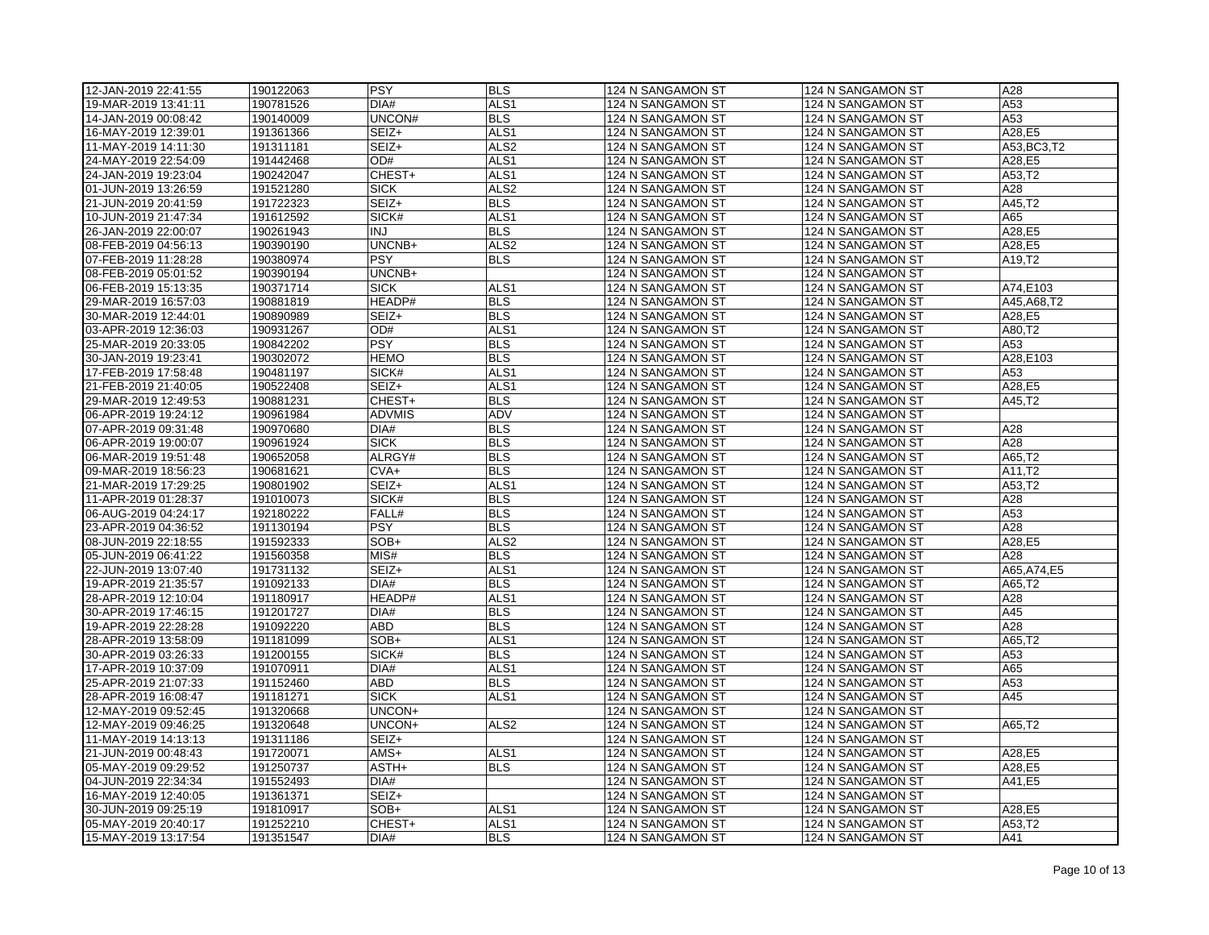| 12-JAN-2019 22:41:55 | 190122063 | <b>PSY</b>    | <b>BLS</b>       | 124 N SANGAMON ST                      | 124 N SANGAMON ST                      | A28              |
|----------------------|-----------|---------------|------------------|----------------------------------------|----------------------------------------|------------------|
| 19-MAR-2019 13:41:11 | 190781526 | DIA#          | ALS <sub>1</sub> | 124 N SANGAMON ST                      | 124 N SANGAMON ST                      | A53              |
| 14-JAN-2019 00:08:42 | 190140009 | UNCON#        | <b>BLS</b>       | 124 N SANGAMON ST                      | 124 N SANGAMON ST                      | A53              |
| 16-MAY-2019 12:39:01 | 191361366 | SEIZ+         | ALS1             | 124 N SANGAMON ST                      | 124 N SANGAMON ST                      | A28,E5           |
| 11-MAY-2019 14:11:30 | 191311181 | SEIZ+         | ALS <sub>2</sub> | 124 N SANGAMON ST                      | 124 N SANGAMON ST                      | A53.BC3.T2       |
| 24-MAY-2019 22:54:09 | 191442468 | OD#           | ALS <sub>1</sub> | 124 N SANGAMON ST                      | 124 N SANGAMON ST                      | A28,E5           |
| 24-JAN-2019 19:23:04 | 190242047 | CHEST+        | ALS <sub>1</sub> | 124 N SANGAMON ST                      | 124 N SANGAMON ST                      | A53,T2           |
| 01-JUN-2019 13:26:59 | 191521280 | <b>SICK</b>   | ALS <sub>2</sub> | 124 N SANGAMON ST                      | 124 N SANGAMON ST                      | A28              |
| 21-JUN-2019 20:41:59 | 191722323 | SEIZ+         | <b>BLS</b>       | 124 N SANGAMON ST                      | 124 N SANGAMON ST                      | A45,T2           |
| 10-JUN-2019 21:47:34 | 191612592 | SICK#         | ALS <sub>1</sub> | 124 N SANGAMON ST                      | 124 N SANGAMON ST                      | A65              |
| 26-JAN-2019 22:00:07 | 190261943 | <b>INJ</b>    | <b>BLS</b>       | 124 N SANGAMON ST                      | 124 N SANGAMON ST                      | A28,E5           |
| 08-FEB-2019 04:56:13 | 190390190 | UNCNB+        | ALS <sub>2</sub> | 124 N SANGAMON ST                      | 124 N SANGAMON ST                      | A28,E5           |
| 07-FEB-2019 11:28:28 | 190380974 | PSY           | <b>BLS</b>       | 124 N SANGAMON ST                      | 124 N SANGAMON ST                      | A19,T2           |
| 08-FEB-2019 05:01:52 | 190390194 | UNCNB+        |                  | 124 N SANGAMON ST                      | 124 N SANGAMON ST                      |                  |
| 06-FEB-2019 15:13:35 | 190371714 | <b>SICK</b>   | ALS1             | 124 N SANGAMON ST                      | 124 N SANGAMON ST                      | A74,E103         |
| 29-MAR-2019 16:57:03 | 190881819 | HEADP#        | <b>BLS</b>       | 124 N SANGAMON ST                      | 124 N SANGAMON ST                      | A45, A68, T2     |
| 30-MAR-2019 12:44:01 | 190890989 | SEIZ+         | <b>BLS</b>       | 124 N SANGAMON ST                      | 124 N SANGAMON ST                      | A28,E5           |
| 03-APR-2019 12:36:03 | 190931267 | OD#           | ALS1             | 124 N SANGAMON ST                      | 124 N SANGAMON ST                      | A80,T2           |
| 25-MAR-2019 20:33:05 | 190842202 | <b>PSY</b>    | <b>BLS</b>       | 124 N SANGAMON ST                      | 124 N SANGAMON ST                      | A53              |
| 30-JAN-2019 19:23:41 | 190302072 | <b>HEMO</b>   | <b>BLS</b>       | 124 N SANGAMON ST                      | 124 N SANGAMON ST                      | A28,E103         |
| 17-FEB-2019 17:58:48 | 190481197 | SICK#         | ALS1             | 124 N SANGAMON ST                      | 124 N SANGAMON ST                      | A53              |
| 21-FEB-2019 21:40:05 | 190522408 | SEIZ+         | ALS1             | 124 N SANGAMON ST                      | 124 N SANGAMON ST                      | A28,E5           |
| 29-MAR-2019 12:49:53 | 190881231 | CHEST+        | <b>BLS</b>       | 124 N SANGAMON ST                      | 124 N SANGAMON ST                      | A45,T2           |
| 06-APR-2019 19:24:12 | 190961984 | <b>ADVMIS</b> | ADV              | 124 N SANGAMON ST                      | 124 N SANGAMON ST                      |                  |
| 07-APR-2019 09:31:48 | 190970680 | DIA#          | BLS              | 124 N SANGAMON ST                      | 124 N SANGAMON ST                      | A28              |
| 06-APR-2019 19:00:07 | 190961924 | <b>SICK</b>   | <b>BLS</b>       | 124 N SANGAMON ST                      | 124 N SANGAMON ST                      | A28              |
| 06-MAR-2019 19:51:48 | 190652058 | ALRGY#        | <b>BLS</b>       | 124 N SANGAMON ST                      | 124 N SANGAMON ST                      | A65,T2           |
| 09-MAR-2019 18:56:23 | 190681621 | CVA+          | <b>BLS</b>       | 124 N SANGAMON ST                      | 124 N SANGAMON ST                      | A11,T2           |
| 21-MAR-2019 17:29:25 | 190801902 | SEIZ+         | ALS <sub>1</sub> | 124 N SANGAMON ST                      | 124 N SANGAMON ST                      | A53,T2           |
| 11-APR-2019 01:28:37 | 191010073 | SICK#         | <b>BLS</b>       | 124 N SANGAMON ST                      | 124 N SANGAMON ST                      | A28              |
| 06-AUG-2019 04:24:17 | 192180222 | FALL#         | <b>BLS</b>       | 124 N SANGAMON ST                      | 124 N SANGAMON ST                      | A53              |
| 23-APR-2019 04:36:52 | 191130194 | <b>PSY</b>    | <b>BLS</b>       | 124 N SANGAMON ST                      | 124 N SANGAMON ST                      | A28              |
| 08-JUN-2019 22:18:55 | 191592333 | SOB+          | ALS <sub>2</sub> | 124 N SANGAMON ST                      | 124 N SANGAMON ST                      | A28,E5           |
| 05-JUN-2019 06:41:22 | 191560358 | MIS#          | <b>BLS</b>       | 124 N SANGAMON ST                      | 124 N SANGAMON ST                      | A28              |
| 22-JUN-2019 13:07:40 | 191731132 | SEIZ+         | ALS <sub>1</sub> | 124 N SANGAMON ST                      | 124 N SANGAMON ST                      | A65, A74, E5     |
| 19-APR-2019 21:35:57 | 191092133 | DIA#          | <b>BLS</b>       | 124 N SANGAMON ST                      | 124 N SANGAMON ST                      | A65,T2           |
| 28-APR-2019 12:10:04 | 191180917 | HEADP#        | ALS1             | 124 N SANGAMON ST                      | 124 N SANGAMON ST                      | A28              |
| 30-APR-2019 17:46:15 | 191201727 | DIA#          | <b>BLS</b>       | 124 N SANGAMON ST                      | 124 N SANGAMON ST                      | A45              |
| 19-APR-2019 22:28:28 | 191092220 | <b>ABD</b>    | <b>BLS</b>       | 124 N SANGAMON ST                      | 124 N SANGAMON ST                      | A28              |
| 28-APR-2019 13:58:09 | 191181099 | SOB+          | ALS <sub>1</sub> | 124 N SANGAMON ST                      | 124 N SANGAMON ST                      | A65,T2           |
| 30-APR-2019 03:26:33 | 191200155 | SICK#         | <b>BLS</b>       | 124 N SANGAMON ST                      | 124 N SANGAMON ST                      | A53              |
| 17-APR-2019 10:37:09 | 191070911 | DIA#          | ALS1             | 124 N SANGAMON ST                      | 124 N SANGAMON ST                      | A65              |
| 25-APR-2019 21:07:33 | 191152460 | <b>ABD</b>    | <b>BLS</b>       | 124 N SANGAMON ST                      | 124 N SANGAMON ST                      | A53              |
| 28-APR-2019 16:08:47 | 191181271 | <b>SICK</b>   | ALS1             | 124 N SANGAMON ST                      | 124 N SANGAMON ST                      | A45              |
| 12-MAY-2019 09:52:45 | 191320668 | UNCON+        |                  | 124 N SANGAMON ST                      | 124 N SANGAMON ST                      |                  |
|                      |           | UNCON+        | ALS <sub>2</sub> |                                        |                                        |                  |
| 12-MAY-2019 09:46:25 | 191320648 |               |                  | 124 N SANGAMON ST                      | 124 N SANGAMON ST                      | A65,T2           |
| 11-MAY-2019 14:13:13 | 191311186 | SEIZ+<br>AMS+ |                  | 124 N SANGAMON ST                      | 124 N SANGAMON ST                      |                  |
| 21-JUN-2019 00:48:43 | 191720071 |               | ALS1             | 124 N SANGAMON ST                      | 124 N SANGAMON ST                      | A28,E5           |
| 05-MAY-2019 09:29:52 | 191250737 | ASTH+<br>DIA# | <b>BLS</b>       | 124 N SANGAMON ST<br>124 N SANGAMON ST | 124 N SANGAMON ST<br>124 N SANGAMON ST | A28,E5<br>A41,E5 |
| 04-JUN-2019 22:34:34 | 191552493 |               |                  |                                        |                                        |                  |
| 16-MAY-2019 12:40:05 | 191361371 | SEIZ+         |                  | 124 N SANGAMON ST                      | 124 N SANGAMON ST                      |                  |
| 30-JUN-2019 09:25:19 | 191810917 | SOB+          | ALS1             | 124 N SANGAMON ST                      | 124 N SANGAMON ST                      | A28,E5           |
| 05-MAY-2019 20:40:17 | 191252210 | CHEST+        | ALS1             | 124 N SANGAMON ST                      | 124 N SANGAMON ST                      | A53,T2           |
| 15-MAY-2019 13:17:54 | 191351547 | DIA#          | <b>BLS</b>       | 124 N SANGAMON ST                      | 124 N SANGAMON ST                      | A41              |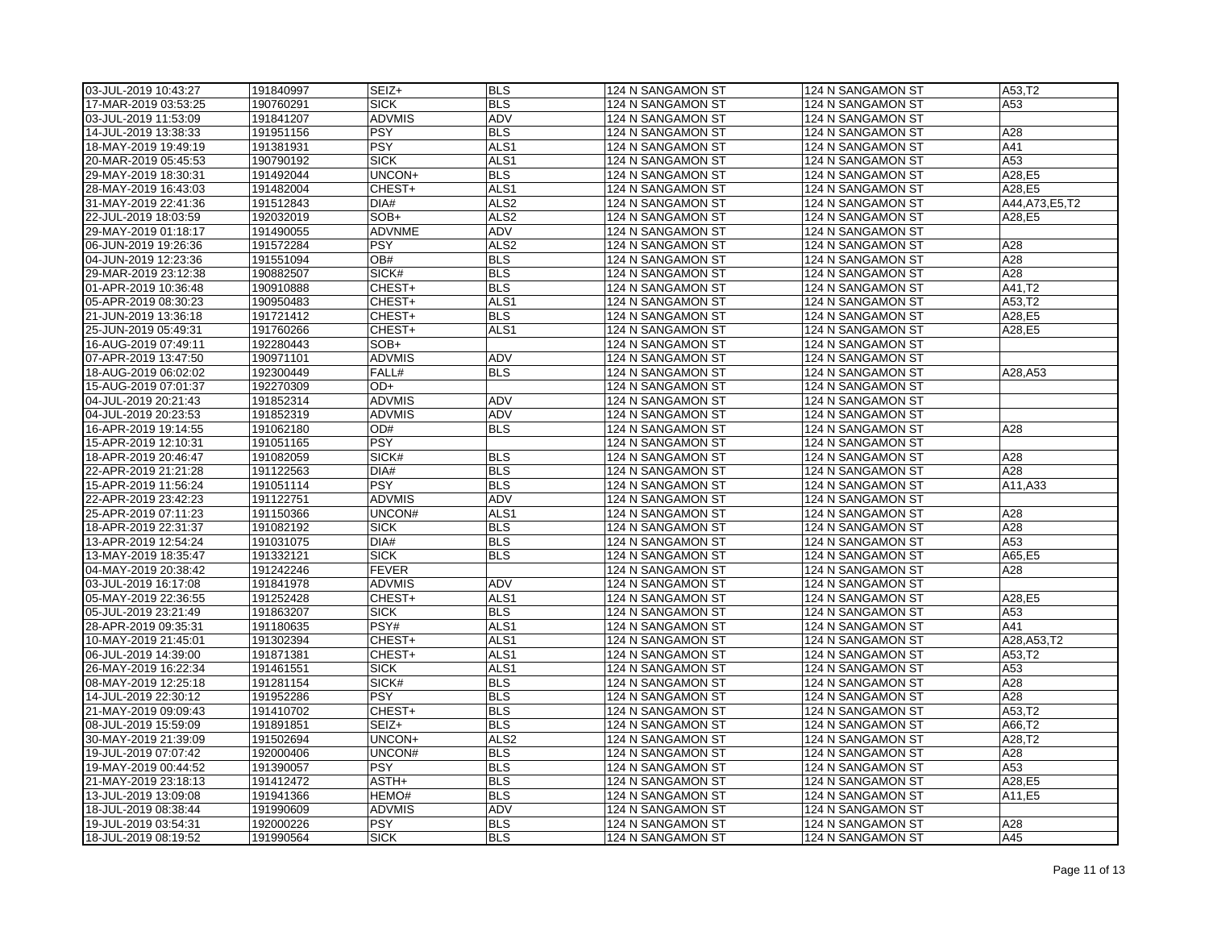| 03-JUL-2019 10:43:27 | 191840997              | SEIZ+               | <b>BLS</b>                     | 124 N SANGAMON ST                      | 124 N SANGAMON ST | A53,T2           |
|----------------------|------------------------|---------------------|--------------------------------|----------------------------------------|-------------------|------------------|
| 17-MAR-2019 03:53:25 | 190760291              | <b>SICK</b>         | <b>BLS</b>                     | 124 N SANGAMON ST                      | 124 N SANGAMON ST | A53              |
| 03-JUL-2019 11:53:09 | 191841207              | <b>ADVMIS</b>       | <b>ADV</b>                     | 124 N SANGAMON ST                      | 124 N SANGAMON ST |                  |
| 14-JUL-2019 13:38:33 | 191951156              | <b>PSY</b>          | <b>BLS</b>                     | 124 N SANGAMON ST                      | 124 N SANGAMON ST | A28              |
| 18-MAY-2019 19:49:19 | 191381931              | <b>PSY</b>          | ALS <sub>1</sub>               | 124 N SANGAMON ST                      | 124 N SANGAMON ST | A41              |
| 20-MAR-2019 05:45:53 | 190790192              | <b>SICK</b>         | ALS <sub>1</sub>               | 124 N SANGAMON ST                      | 124 N SANGAMON ST | A53              |
| 29-MAY-2019 18:30:31 | 191492044              | UNCON+              | <b>BLS</b>                     | 124 N SANGAMON ST                      | 124 N SANGAMON ST | A28,E5           |
| 28-MAY-2019 16:43:03 | 191482004              | CHEST+              | ALS1                           | 124 N SANGAMON ST                      | 124 N SANGAMON ST | A28,E5           |
| 31-MAY-2019 22:41:36 | 191512843              | DIA#                | ALS <sub>2</sub>               | 124 N SANGAMON ST                      | 124 N SANGAMON ST | A44, A73, E5, T2 |
| 22-JUL-2019 18:03:59 | 192032019              | SOB+                | ALS <sub>2</sub>               | 124 N SANGAMON ST                      | 124 N SANGAMON ST | A28,E5           |
| 29-MAY-2019 01:18:17 | 191490055              | ADVNME              | ADV                            | 124 N SANGAMON ST                      | 124 N SANGAMON ST |                  |
| 06-JUN-2019 19:26:36 | 191572284              | <b>PSY</b>          | ALS <sub>2</sub>               | 124 N SANGAMON ST                      | 124 N SANGAMON ST | A28              |
| 04-JUN-2019 12:23:36 | 191551094              | OB#                 | <b>BLS</b>                     | 124 N SANGAMON ST                      | 124 N SANGAMON ST | A28              |
| 29-MAR-2019 23:12:38 | 190882507              | SICK#               | <b>BLS</b>                     | 124 N SANGAMON ST                      | 124 N SANGAMON ST | A28              |
| 01-APR-2019 10:36:48 | 190910888              | CHEST+              | <b>BLS</b>                     | 124 N SANGAMON ST                      | 124 N SANGAMON ST | A41,T2           |
| 05-APR-2019 08:30:23 | 190950483              | CHEST+              | ALS <sub>1</sub>               | 124 N SANGAMON ST                      | 124 N SANGAMON ST | A53,T2           |
| 21-JUN-2019 13:36:18 | 191721412              | CHEST+              | <b>BLS</b>                     | 124 N SANGAMON ST                      | 124 N SANGAMON ST | A28,E5           |
| 25-JUN-2019 05:49:31 | 191760266              | CHEST+              | ALS <sub>1</sub>               | 124 N SANGAMON ST                      | 124 N SANGAMON ST | A28,E5           |
| 16-AUG-2019 07:49:11 | 192280443              | SOB+                |                                | 124 N SANGAMON ST                      | 124 N SANGAMON ST |                  |
| 07-APR-2019 13:47:50 | 190971101              | <b>ADVMIS</b>       | ADV                            | 124 N SANGAMON ST                      | 124 N SANGAMON ST |                  |
| 18-AUG-2019 06:02:02 | 192300449              | FALL#               | <b>BLS</b>                     | 124 N SANGAMON ST                      | 124 N SANGAMON ST | A28, A53         |
| 15-AUG-2019 07:01:37 | 192270309              | OD+                 |                                | 124 N SANGAMON ST                      | 124 N SANGAMON ST |                  |
| 04-JUL-2019 20:21:43 | 191852314              | <b>ADVMIS</b>       | ADV                            | 124 N SANGAMON ST                      | 124 N SANGAMON ST |                  |
| 04-JUL-2019 20:23:53 | 191852319              | <b>ADVMIS</b>       | ADV                            | 124 N SANGAMON ST                      | 124 N SANGAMON ST |                  |
| 16-APR-2019 19:14:55 | 191062180              | OD#                 | <b>BLS</b>                     | 124 N SANGAMON ST                      | 124 N SANGAMON ST | A28              |
| 15-APR-2019 12:10:31 | 191051165              | <b>PSY</b>          |                                | 124 N SANGAMON ST                      | 124 N SANGAMON ST |                  |
| 18-APR-2019 20:46:47 | 191082059              | SICK#               | <b>BLS</b>                     | 124 N SANGAMON ST                      | 124 N SANGAMON ST | A28              |
| 22-APR-2019 21:21:28 | 191122563              | DIA#                | <b>BLS</b>                     | 124 N SANGAMON ST                      | 124 N SANGAMON ST | A28              |
| 15-APR-2019 11:56:24 | 191051114              | PSY                 | <b>BLS</b>                     | 124 N SANGAMON ST                      | 124 N SANGAMON ST | A11,A33          |
| 22-APR-2019 23:42:23 | 191122751              | <b>ADVMIS</b>       | ADV                            | 124 N SANGAMON ST                      | 124 N SANGAMON ST |                  |
| 25-APR-2019 07:11:23 | 191150366              | UNCON#              | ALS <sub>1</sub>               | 124 N SANGAMON ST                      | 124 N SANGAMON ST | A28              |
| 18-APR-2019 22:31:37 | 191082192              | <b>SICK</b>         | <b>BLS</b>                     | 124 N SANGAMON ST                      | 124 N SANGAMON ST | A28              |
| 13-APR-2019 12:54:24 | 191031075              | DIA#                | <b>BLS</b>                     | 124 N SANGAMON ST                      | 124 N SANGAMON ST | A53              |
| 13-MAY-2019 18:35:47 | 191332121              | <b>SICK</b>         | <b>BLS</b>                     | 124 N SANGAMON ST                      | 124 N SANGAMON ST | A65,E5           |
|                      |                        | <b>FEVER</b>        |                                |                                        |                   | A28              |
| 04-MAY-2019 20:38:42 | 191242246<br>191841978 | <b>ADVMIS</b>       | ADV                            | 124 N SANGAMON ST<br>124 N SANGAMON ST | 124 N SANGAMON ST |                  |
| 03-JUL-2019 16:17:08 |                        |                     |                                |                                        | 124 N SANGAMON ST |                  |
| 05-MAY-2019 22:36:55 | 191252428              | CHEST+              | ALS1                           | 124 N SANGAMON ST                      | 124 N SANGAMON ST | A28,E5           |
| 05-JUL-2019 23:21:49 | 191863207              | <b>SICK</b><br>PSY# | <b>BLS</b><br>ALS <sub>1</sub> | 124 N SANGAMON ST                      | 124 N SANGAMON ST | A53<br>A41       |
| 28-APR-2019 09:35:31 | 191180635              |                     |                                | 124 N SANGAMON ST                      | 124 N SANGAMON ST |                  |
| 10-MAY-2019 21:45:01 | 191302394              | CHEST+              | ALS1                           | 124 N SANGAMON ST                      | 124 N SANGAMON ST | A28, A53, T2     |
| 06-JUL-2019 14:39:00 | 191871381              | CHEST+              | ALS <sub>1</sub>               | 124 N SANGAMON ST                      | 124 N SANGAMON ST | A53,T2           |
| 26-MAY-2019 16:22:34 | 191461551              | <b>SICK</b>         | ALS1                           | 124 N SANGAMON ST                      | 124 N SANGAMON ST | A53              |
| 08-MAY-2019 12:25:18 | 191281154              | SICK#               | <b>BLS</b>                     | 124 N SANGAMON ST                      | 124 N SANGAMON ST | A28              |
| 14-JUL-2019 22:30:12 | 191952286              | <b>PSY</b>          | <b>BLS</b>                     | 124 N SANGAMON ST                      | 124 N SANGAMON ST | A28              |
| 21-MAY-2019 09:09:43 | 191410702              | CHEST+              | <b>BLS</b>                     | 124 N SANGAMON ST                      | 124 N SANGAMON ST | A53,T2           |
| 08-JUL-2019 15:59:09 | 191891851              | SEIZ+               | <b>BLS</b>                     | 124 N SANGAMON ST                      | 124 N SANGAMON ST | A66,T2           |
| 30-MAY-2019 21:39:09 | 191502694              | UNCON+              | ALS <sub>2</sub>               | 124 N SANGAMON ST                      | 124 N SANGAMON ST | A28,T2           |
| 19-JUL-2019 07:07:42 | 192000406              | UNCON#              | <b>BLS</b>                     | 124 N SANGAMON ST                      | 124 N SANGAMON ST | A28              |
| 19-MAY-2019 00:44:52 | 191390057              | <b>PSY</b>          | <b>BLS</b>                     | 124 N SANGAMON ST                      | 124 N SANGAMON ST | A53              |
| 21-MAY-2019 23:18:13 | 191412472              | ASTH+               | <b>BLS</b>                     | 124 N SANGAMON ST                      | 124 N SANGAMON ST | A28,E5           |
| 13-JUL-2019 13:09:08 | 191941366              | HEMO#               | <b>BLS</b>                     | 124 N SANGAMON ST                      | 124 N SANGAMON ST | A11,E5           |
| 18-JUL-2019 08:38:44 | 191990609              | <b>ADVMIS</b>       | <b>ADV</b>                     | 124 N SANGAMON ST                      | 124 N SANGAMON ST |                  |
| 19-JUL-2019 03:54:31 | 192000226              | <b>PSY</b>          | <b>BLS</b>                     | 124 N SANGAMON ST                      | 124 N SANGAMON ST | A28              |
| 18-JUL-2019 08:19:52 | 191990564              | <b>SICK</b>         | <b>BLS</b>                     | 124 N SANGAMON ST                      | 124 N SANGAMON ST | A45              |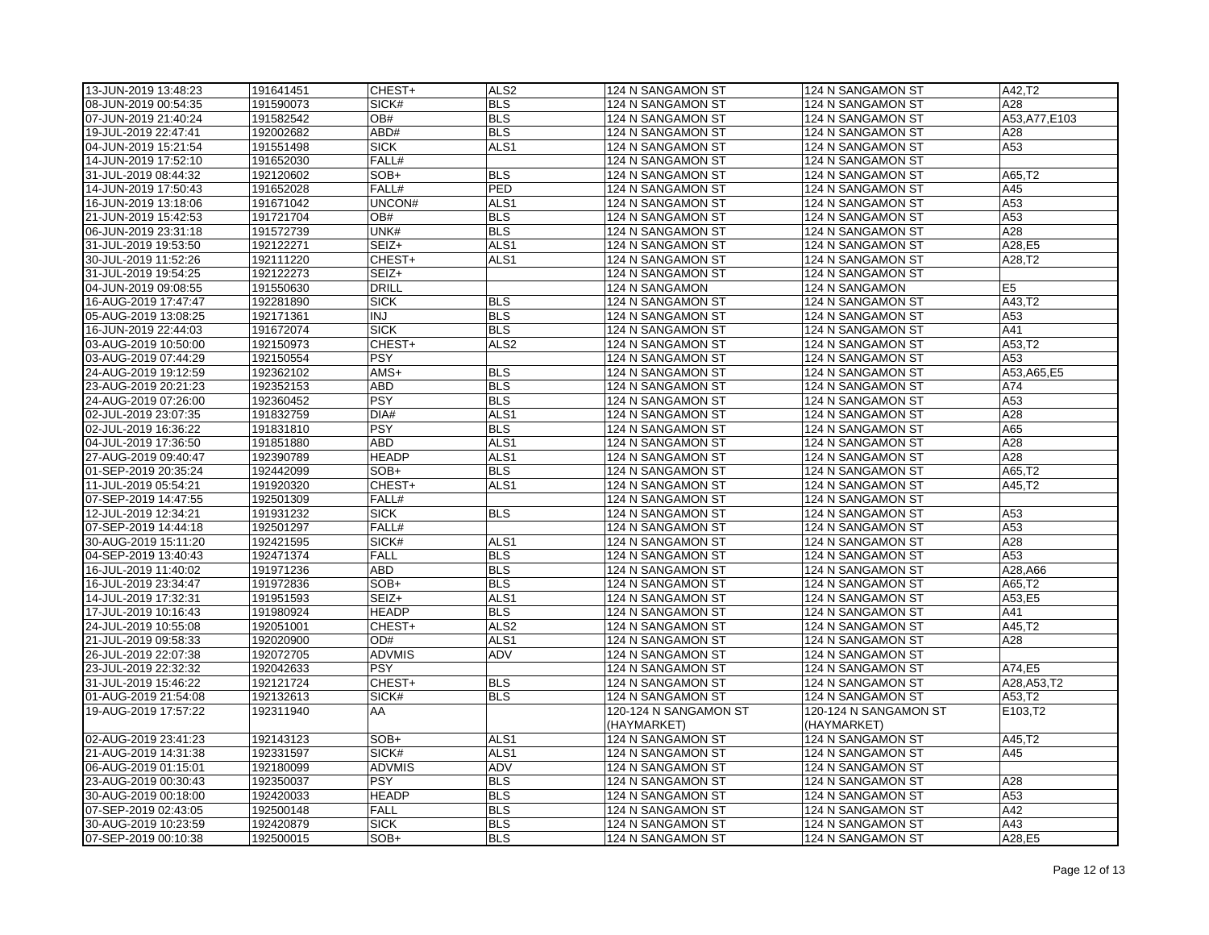| 13-JUN-2019 13:48:23                         | 191641451              | CHEST+        | ALS <sub>2</sub>         | 124 N SANGAMON ST                      | 124 N SANGAMON ST                      | A42,T2               |
|----------------------------------------------|------------------------|---------------|--------------------------|----------------------------------------|----------------------------------------|----------------------|
| 08-JUN-2019 00:54:35                         | 191590073              | SICK#         | <b>BLS</b>               | 124 N SANGAMON ST                      | 124 N SANGAMON ST                      | A28                  |
| 07-JUN-2019 21:40:24                         | 191582542              | OB#           | <b>BLS</b>               | 124 N SANGAMON ST                      | 124 N SANGAMON ST                      | A53, A77, E103       |
| 19-JUL-2019 22:47:41                         | 192002682              | ABD#          | <b>BLS</b>               | 124 N SANGAMON ST                      | 124 N SANGAMON ST                      | A28                  |
| 04-JUN-2019 15:21:54                         | 191551498              | <b>SICK</b>   | ALS <sub>1</sub>         | 124 N SANGAMON ST                      | 124 N SANGAMON ST                      | A53                  |
| 14-JUN-2019 17:52:10                         | 191652030              | FALL#         |                          | 124 N SANGAMON ST                      | 124 N SANGAMON ST                      |                      |
| 31-JUL-2019 08:44:32                         | 192120602              | SOB+          | <b>BLS</b>               | 124 N SANGAMON ST                      | 124 N SANGAMON ST                      | A65.T2               |
| 14-JUN-2019 17:50:43                         | 191652028              | FALL#         | PED                      | 124 N SANGAMON ST                      | 124 N SANGAMON ST                      | A45                  |
| 16-JUN-2019 13:18:06                         | 191671042              | UNCON#        | ALS <sub>1</sub>         | 124 N SANGAMON ST                      | 124 N SANGAMON ST                      | A53                  |
| 21-JUN-2019 15:42:53                         | 191721704              | OB#           | <b>BLS</b>               | 124 N SANGAMON ST                      | 124 N SANGAMON ST                      | A53                  |
| 06-JUN-2019 23:31:18                         | 191572739              | UNK#          | <b>BLS</b>               | 124 N SANGAMON ST                      | 124 N SANGAMON ST                      | A28                  |
| 31-JUL-2019 19:53:50                         | 192122271              | SEIZ+         | ALS <sub>1</sub>         | 124 N SANGAMON ST                      | 124 N SANGAMON ST                      | A28,E5               |
| 30-JUL-2019 11:52:26                         | 192111220              | CHEST+        | ALS1                     | 124 N SANGAMON ST                      | 124 N SANGAMON ST                      | A28,T2               |
| 31-JUL-2019 19:54:25                         | 192122273              | SEIZ+         |                          | 124 N SANGAMON ST                      | 124 N SANGAMON ST                      |                      |
| 04-JUN-2019 09:08:55                         | 191550630              | <b>DRILL</b>  |                          | 124 N SANGAMON                         | 124 N SANGAMON                         | E <sub>5</sub>       |
| 16-AUG-2019 17:47:47                         | 192281890              | <b>SICK</b>   | <b>BLS</b>               | 124 N SANGAMON ST                      | 124 N SANGAMON ST                      | A43,T2               |
| 05-AUG-2019 13:08:25                         | 192171361              | <b>INJ</b>    | <b>BLS</b>               | 124 N SANGAMON ST                      | 124 N SANGAMON ST                      | A53                  |
| 16-JUN-2019 22:44:03                         | 191672074              | <b>SICK</b>   | <b>BLS</b>               | 124 N SANGAMON ST                      | 124 N SANGAMON ST                      | A41                  |
| 03-AUG-2019 10:50:00                         | 192150973              | CHEST+        | ALS <sub>2</sub>         | 124 N SANGAMON ST                      | 124 N SANGAMON ST                      | A53,T2               |
| 03-AUG-2019 07:44:29                         | 192150554              | <b>PSY</b>    |                          | 124 N SANGAMON ST                      | 124 N SANGAMON ST                      | A53                  |
| 24-AUG-2019 19:12:59                         | 192362102              | AMS+          | <b>BLS</b>               | 124 N SANGAMON ST                      | 124 N SANGAMON ST                      | A53, A65, E5         |
| 23-AUG-2019 20:21:23                         | 192352153              | <b>ABD</b>    | <b>BLS</b>               | 124 N SANGAMON ST                      | 124 N SANGAMON ST                      | A74                  |
| 24-AUG-2019 07:26:00                         | 192360452              | <b>PSY</b>    | <b>BLS</b>               | 124 N SANGAMON ST                      | 124 N SANGAMON ST                      | A53                  |
| 02-JUL-2019 23:07:35                         | 191832759              | DIA#          | ALS <sub>1</sub>         | 124 N SANGAMON ST                      | 124 N SANGAMON ST                      | A28                  |
| 02-JUL-2019 16:36:22                         | 191831810              | <b>PSY</b>    | <b>BLS</b>               | 124 N SANGAMON ST                      | 124 N SANGAMON ST                      | A65                  |
| 04-JUL-2019 17:36:50                         | 191851880              | <b>ABD</b>    | ALS <sub>1</sub>         | 124 N SANGAMON ST                      | 124 N SANGAMON ST                      | A28                  |
| 27-AUG-2019 09:40:47                         | 192390789              | <b>HEADP</b>  | ALS <sub>1</sub>         | 124 N SANGAMON ST                      | 124 N SANGAMON ST                      | A28                  |
| 01-SEP-2019 20:35:24                         | 192442099              | SOB+          | <b>BLS</b>               | 124 N SANGAMON ST                      | 124 N SANGAMON ST                      | A65,T2               |
| 11-JUL-2019 05:54:21                         | 191920320              | CHEST+        | ALS <sub>1</sub>         | 124 N SANGAMON ST                      | 124 N SANGAMON ST                      | A45,T2               |
| 07-SEP-2019 14:47:55                         | 192501309              | FALL#         |                          | 124 N SANGAMON ST                      | 124 N SANGAMON ST                      |                      |
| 12-JUL-2019 12:34:21                         | 191931232              | <b>SICK</b>   | <b>BLS</b>               | 124 N SANGAMON ST                      | 124 N SANGAMON ST                      | A53                  |
| 07-SEP-2019 14:44:18                         | 192501297              | FALL#         |                          | 124 N SANGAMON ST                      | 124 N SANGAMON ST                      | A53                  |
| 30-AUG-2019 15:11:20                         | 192421595              | SICK#         | ALS <sub>1</sub>         | 124 N SANGAMON ST                      | 124 N SANGAMON ST                      | A28                  |
| 04-SEP-2019 13:40:43                         | 192471374              | <b>FALL</b>   | <b>BLS</b>               | 124 N SANGAMON ST                      | 124 N SANGAMON ST                      | A53                  |
| 16-JUL-2019 11:40:02                         | 191971236              | <b>ABD</b>    | <b>BLS</b>               | 124 N SANGAMON ST                      | 124 N SANGAMON ST                      | A28, A66             |
| 16-JUL-2019 23:34:47                         | 191972836              | SOB+          | <b>BLS</b>               | 124 N SANGAMON ST                      | 124 N SANGAMON ST                      | $\overline{A65, T2}$ |
| 14-JUL-2019 17:32:31                         | 191951593              | SEIZ+         | ALS <sub>1</sub>         | 124 N SANGAMON ST                      | 124 N SANGAMON ST                      | A53,E5               |
| 17-JUL-2019 10:16:43                         | 191980924              | <b>HEADP</b>  | <b>BLS</b>               | 124 N SANGAMON ST                      | 124 N SANGAMON ST                      | A41                  |
| 24-JUL-2019 10:55:08                         | 192051001              | CHEST+        | ALS <sub>2</sub>         | 124 N SANGAMON ST                      | 124 N SANGAMON ST                      | A45,T2               |
| 21-JUL-2019 09:58:33                         | 192020900              | OD#           | ALS <sub>1</sub>         | 124 N SANGAMON ST                      | 124 N SANGAMON ST                      | A28                  |
| 26-JUL-2019 22:07:38                         | 192072705              | <b>ADVMIS</b> | ADV                      | 124 N SANGAMON ST                      | 124 N SANGAMON ST                      |                      |
| 23-JUL-2019 22:32:32                         | 192042633              | <b>PSY</b>    |                          | 124 N SANGAMON ST                      | 124 N SANGAMON ST                      | A74,E5               |
| 31-JUL-2019 15:46:22                         | 192121724              | CHEST+        | <b>BLS</b>               | 124 N SANGAMON ST                      | 124 N SANGAMON ST                      | A28, A53, T2         |
| 01-AUG-2019 21:54:08                         | 192132613              | SICK#         | <b>BLS</b>               | 124 N SANGAMON ST                      | 124 N SANGAMON ST                      | A53,T2               |
| 19-AUG-2019 17:57:22                         | 192311940              | AA            |                          | 120-124 N SANGAMON ST                  | 120-124 N SANGAMON ST                  | E103,T2              |
|                                              |                        |               |                          | (HAYMARKET)                            | (HAYMARKET)                            |                      |
| 02-AUG-2019 23:41:23<br>21-AUG-2019 14:31:38 | 192143123<br>192331597 | SOB+<br>SICK# | ALS1<br>ALS <sub>1</sub> | 124 N SANGAMON ST<br>124 N SANGAMON ST | 124 N SANGAMON ST<br>124 N SANGAMON ST | A45,T2<br>A45        |
| 06-AUG-2019 01:15:01                         | 192180099              | <b>ADVMIS</b> | ADV                      | 124 N SANGAMON ST                      | 124 N SANGAMON ST                      |                      |
| 23-AUG-2019 00:30:43                         | 192350037              | <b>PSY</b>    | <b>BLS</b>               | 124 N SANGAMON ST                      | 124 N SANGAMON ST                      | A28                  |
| 30-AUG-2019 00:18:00                         | 192420033              | <b>HEADP</b>  | <b>BLS</b>               | 124 N SANGAMON ST                      | 124 N SANGAMON ST                      | A53                  |
| 07-SEP-2019 02:43:05                         | 192500148              | <b>FALL</b>   | <b>BLS</b>               | 124 N SANGAMON ST                      | 124 N SANGAMON ST                      | A42                  |
| 30-AUG-2019 10:23:59                         | 192420879              | <b>SICK</b>   | <b>BLS</b>               | 124 N SANGAMON ST                      | 124 N SANGAMON ST                      | A43                  |
| 07-SEP-2019 00:10:38                         | 192500015              | SOB+          | <b>BLS</b>               | 124 N SANGAMON ST                      | 124 N SANGAMON ST                      | A28,E5               |
|                                              |                        |               |                          |                                        |                                        |                      |